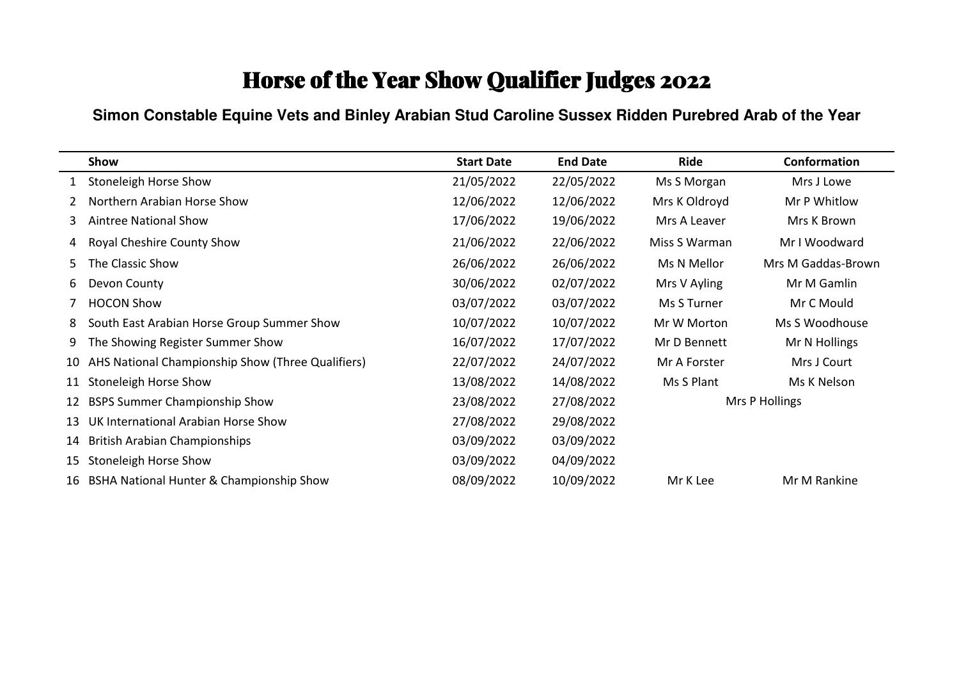#### **Simon Constable Equine Vets and Binley Arabian Stud Caroline Sussex Ridden Purebred Arab of the Year**

|    | Show                                              | <b>Start Date</b> | <b>End Date</b> | Ride          | Conformation       |
|----|---------------------------------------------------|-------------------|-----------------|---------------|--------------------|
|    | Stoneleigh Horse Show                             | 21/05/2022        | 22/05/2022      | Ms S Morgan   | Mrs J Lowe         |
|    | Northern Arabian Horse Show                       | 12/06/2022        | 12/06/2022      | Mrs K Oldroyd | Mr P Whitlow       |
| 3  | Aintree National Show                             | 17/06/2022        | 19/06/2022      | Mrs A Leaver  | Mrs K Brown        |
| 4  | Royal Cheshire County Show                        | 21/06/2022        | 22/06/2022      | Miss S Warman | Mr I Woodward      |
| 5. | The Classic Show                                  | 26/06/2022        | 26/06/2022      | Ms N Mellor   | Mrs M Gaddas-Brown |
| 6  | Devon County                                      | 30/06/2022        | 02/07/2022      | Mrs V Ayling  | Mr M Gamlin        |
|    | <b>HOCON Show</b>                                 | 03/07/2022        | 03/07/2022      | Ms S Turner   | Mr C Mould         |
| 8  | South East Arabian Horse Group Summer Show        | 10/07/2022        | 10/07/2022      | Mr W Morton   | Ms S Woodhouse     |
| 9  | The Showing Register Summer Show                  | 16/07/2022        | 17/07/2022      | Mr D Bennett  | Mr N Hollings      |
| 10 | AHS National Championship Show (Three Qualifiers) | 22/07/2022        | 24/07/2022      | Mr A Forster  | Mrs J Court        |
| 11 | Stoneleigh Horse Show                             | 13/08/2022        | 14/08/2022      | Ms S Plant    | Ms K Nelson        |
| 12 | <b>BSPS Summer Championship Show</b>              | 23/08/2022        | 27/08/2022      |               | Mrs P Hollings     |
| 13 | UK International Arabian Horse Show               | 27/08/2022        | 29/08/2022      |               |                    |
| 14 | <b>British Arabian Championships</b>              | 03/09/2022        | 03/09/2022      |               |                    |
| 15 | <b>Stoneleigh Horse Show</b>                      | 03/09/2022        | 04/09/2022      |               |                    |
| 16 | BSHA National Hunter & Championship Show          | 08/09/2022        | 10/09/2022      | Mr K Lee      | Mr M Rankine       |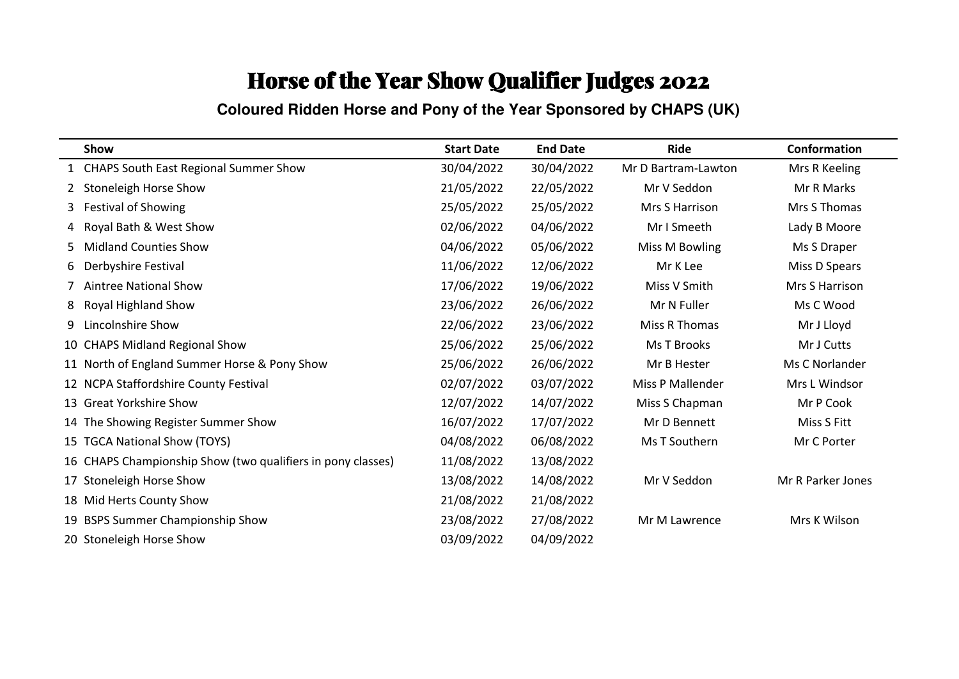**Coloured Ridden Horse and Pony of the Year Sponsored by CHAPS (UK)**

|    | Show                                                        | <b>Start Date</b> | <b>End Date</b> | Ride                | Conformation      |
|----|-------------------------------------------------------------|-------------------|-----------------|---------------------|-------------------|
|    | 1 CHAPS South East Regional Summer Show                     | 30/04/2022        | 30/04/2022      | Mr D Bartram-Lawton | Mrs R Keeling     |
|    | <b>Stoneleigh Horse Show</b>                                | 21/05/2022        | 22/05/2022      | Mr V Seddon         | Mr R Marks        |
| 3. | <b>Festival of Showing</b>                                  | 25/05/2022        | 25/05/2022      | Mrs S Harrison      | Mrs S Thomas      |
| 4  | Royal Bath & West Show                                      | 02/06/2022        | 04/06/2022      | Mr I Smeeth         | Lady B Moore      |
| 5. | <b>Midland Counties Show</b>                                | 04/06/2022        | 05/06/2022      | Miss M Bowling      | Ms S Draper       |
| 6  | Derbyshire Festival                                         | 11/06/2022        | 12/06/2022      | Mr K Lee            | Miss D Spears     |
|    | <b>Aintree National Show</b>                                | 17/06/2022        | 19/06/2022      | Miss V Smith        | Mrs S Harrison    |
| 8  | <b>Royal Highland Show</b>                                  | 23/06/2022        | 26/06/2022      | Mr N Fuller         | Ms C Wood         |
| 9  | Lincolnshire Show                                           | 22/06/2022        | 23/06/2022      | Miss R Thomas       | Mr J Lloyd        |
|    | 10 CHAPS Midland Regional Show                              | 25/06/2022        | 25/06/2022      | Ms T Brooks         | Mr J Cutts        |
|    | 11 North of England Summer Horse & Pony Show                | 25/06/2022        | 26/06/2022      | Mr B Hester         | Ms C Norlander    |
|    | 12 NCPA Staffordshire County Festival                       | 02/07/2022        | 03/07/2022      | Miss P Mallender    | Mrs L Windsor     |
|    | 13 Great Yorkshire Show                                     | 12/07/2022        | 14/07/2022      | Miss S Chapman      | Mr P Cook         |
|    | 14 The Showing Register Summer Show                         | 16/07/2022        | 17/07/2022      | Mr D Bennett        | Miss S Fitt       |
|    | 15 TGCA National Show (TOYS)                                | 04/08/2022        | 06/08/2022      | Ms T Southern       | Mr C Porter       |
|    | 16 CHAPS Championship Show (two qualifiers in pony classes) | 11/08/2022        | 13/08/2022      |                     |                   |
| 17 | <b>Stoneleigh Horse Show</b>                                | 13/08/2022        | 14/08/2022      | Mr V Seddon         | Mr R Parker Jones |
|    | 18 Mid Herts County Show                                    | 21/08/2022        | 21/08/2022      |                     |                   |
|    | 19 BSPS Summer Championship Show                            | 23/08/2022        | 27/08/2022      | Mr M Lawrence       | Mrs K Wilson      |
|    | 20 Stoneleigh Horse Show                                    | 03/09/2022        | 04/09/2022      |                     |                   |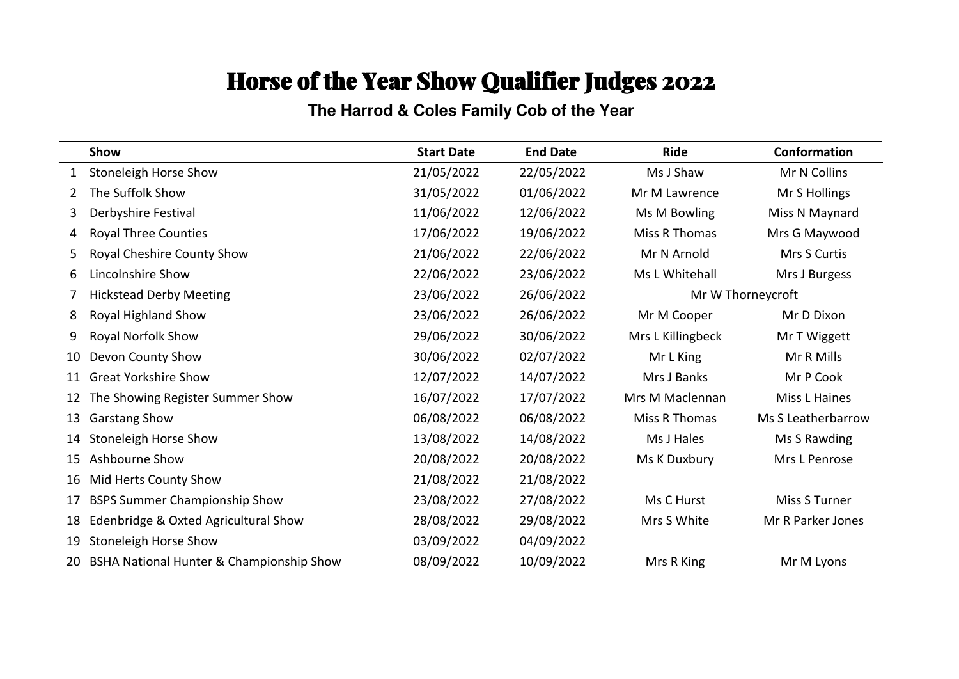**The Harrod & Coles Family Cob of the Year**

|    | Show                                     | <b>Start Date</b> | <b>End Date</b> | <b>Ride</b>       | Conformation         |
|----|------------------------------------------|-------------------|-----------------|-------------------|----------------------|
| 1  | Stoneleigh Horse Show                    | 21/05/2022        | 22/05/2022      | Ms J Shaw         | Mr N Collins         |
| 2  | The Suffolk Show                         | 31/05/2022        | 01/06/2022      | Mr M Lawrence     | Mr S Hollings        |
| 3  | Derbyshire Festival                      | 11/06/2022        | 12/06/2022      | Ms M Bowling      | Miss N Maynard       |
| 4  | <b>Royal Three Counties</b>              | 17/06/2022        | 19/06/2022      | Miss R Thomas     | Mrs G Maywood        |
| 5  | Royal Cheshire County Show               | 21/06/2022        | 22/06/2022      | Mr N Arnold       | Mrs S Curtis         |
| 6  | Lincolnshire Show                        | 22/06/2022        | 23/06/2022      | Ms L Whitehall    | Mrs J Burgess        |
|    | <b>Hickstead Derby Meeting</b>           | 23/06/2022        | 26/06/2022      |                   | Mr W Thorneycroft    |
| 8  | Royal Highland Show                      | 23/06/2022        | 26/06/2022      | Mr M Cooper       | Mr D Dixon           |
| 9  | Royal Norfolk Show                       | 29/06/2022        | 30/06/2022      | Mrs L Killingbeck | Mr T Wiggett         |
| 10 | Devon County Show                        | 30/06/2022        | 02/07/2022      | Mr L King         | Mr R Mills           |
| 11 | <b>Great Yorkshire Show</b>              | 12/07/2022        | 14/07/2022      | Mrs J Banks       | Mr P Cook            |
| 12 | The Showing Register Summer Show         | 16/07/2022        | 17/07/2022      | Mrs M Maclennan   | <b>Miss L Haines</b> |
| 13 | <b>Garstang Show</b>                     | 06/08/2022        | 06/08/2022      | Miss R Thomas     | Ms S Leatherbarrow   |
| 14 | <b>Stoneleigh Horse Show</b>             | 13/08/2022        | 14/08/2022      | Ms J Hales        | Ms S Rawding         |
| 15 | Ashbourne Show                           | 20/08/2022        | 20/08/2022      | Ms K Duxbury      | Mrs L Penrose        |
| 16 | Mid Herts County Show                    | 21/08/2022        | 21/08/2022      |                   |                      |
| 17 | <b>BSPS Summer Championship Show</b>     | 23/08/2022        | 27/08/2022      | Ms C Hurst        | Miss S Turner        |
| 18 | Edenbridge & Oxted Agricultural Show     | 28/08/2022        | 29/08/2022      | Mrs S White       | Mr R Parker Jones    |
| 19 | Stoneleigh Horse Show                    | 03/09/2022        | 04/09/2022      |                   |                      |
| 20 | BSHA National Hunter & Championship Show | 08/09/2022        | 10/09/2022      | Mrs R King        | Mr M Lyons           |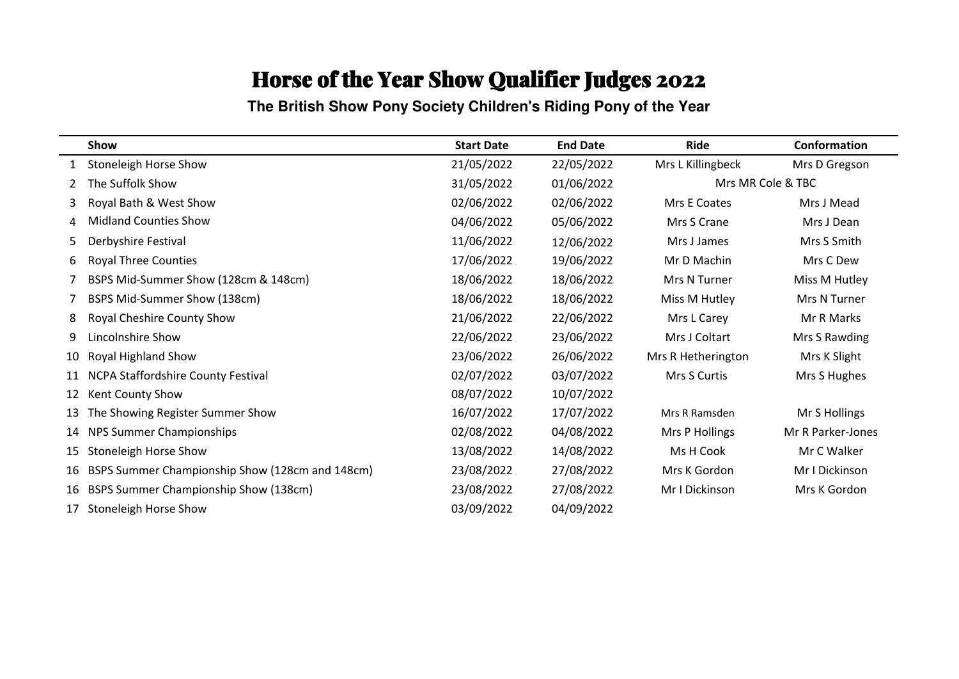**The British Show Pony Society Children's Riding Pony of the Year**

|    | Show                                            | <b>Start Date</b> | <b>End Date</b> | Ride                | Conformation      |
|----|-------------------------------------------------|-------------------|-----------------|---------------------|-------------------|
| 1  | <b>Stoneleigh Horse Show</b>                    | 21/05/2022        | 22/05/2022      | Mrs L Killingbeck   | Mrs D Gregson     |
| 2  | The Suffolk Show                                | 31/05/2022        | 01/06/2022      |                     | Mrs MR Cole & TBC |
| 3  | Royal Bath & West Show                          | 02/06/2022        | 02/06/2022      | <b>Mrs E Coates</b> | Mrs J Mead        |
| 4  | <b>Midland Counties Show</b>                    | 04/06/2022        | 05/06/2022      | Mrs S Crane         | Mrs J Dean        |
| 5. | Derbyshire Festival                             | 11/06/2022        | 12/06/2022      | Mrs J James         | Mrs S Smith       |
| 6  | <b>Royal Three Counties</b>                     | 17/06/2022        | 19/06/2022      | Mr D Machin         | Mrs C Dew         |
|    | BSPS Mid-Summer Show (128cm & 148cm)            | 18/06/2022        | 18/06/2022      | Mrs N Turner        | Miss M Hutley     |
|    | BSPS Mid-Summer Show (138cm)                    | 18/06/2022        | 18/06/2022      | Miss M Hutley       | Mrs N Turner      |
| 8  | Royal Cheshire County Show                      | 21/06/2022        | 22/06/2022      | Mrs L Carey         | Mr R Marks        |
| 9  | Lincolnshire Show                               | 22/06/2022        | 23/06/2022      | Mrs J Coltart       | Mrs S Rawding     |
| 10 | Royal Highland Show                             | 23/06/2022        | 26/06/2022      | Mrs R Hetherington  | Mrs K Slight      |
| 11 | <b>NCPA Staffordshire County Festival</b>       | 02/07/2022        | 03/07/2022      | Mrs S Curtis        | Mrs S Hughes      |
| 12 | Kent County Show                                | 08/07/2022        | 10/07/2022      |                     |                   |
| 13 | The Showing Register Summer Show                | 16/07/2022        | 17/07/2022      | Mrs R Ramsden       | Mr S Hollings     |
| 14 | NPS Summer Championships                        | 02/08/2022        | 04/08/2022      | Mrs P Hollings      | Mr R Parker-Jones |
| 15 | Stoneleigh Horse Show                           | 13/08/2022        | 14/08/2022      | Ms H Cook           | Mr C Walker       |
| 16 | BSPS Summer Championship Show (128cm and 148cm) | 23/08/2022        | 27/08/2022      | Mrs K Gordon        | Mr I Dickinson    |
| 16 | BSPS Summer Championship Show (138cm)           | 23/08/2022        | 27/08/2022      | Mr I Dickinson      | Mrs K Gordon      |
| 17 | Stoneleigh Horse Show                           | 03/09/2022        | 04/09/2022      |                     |                   |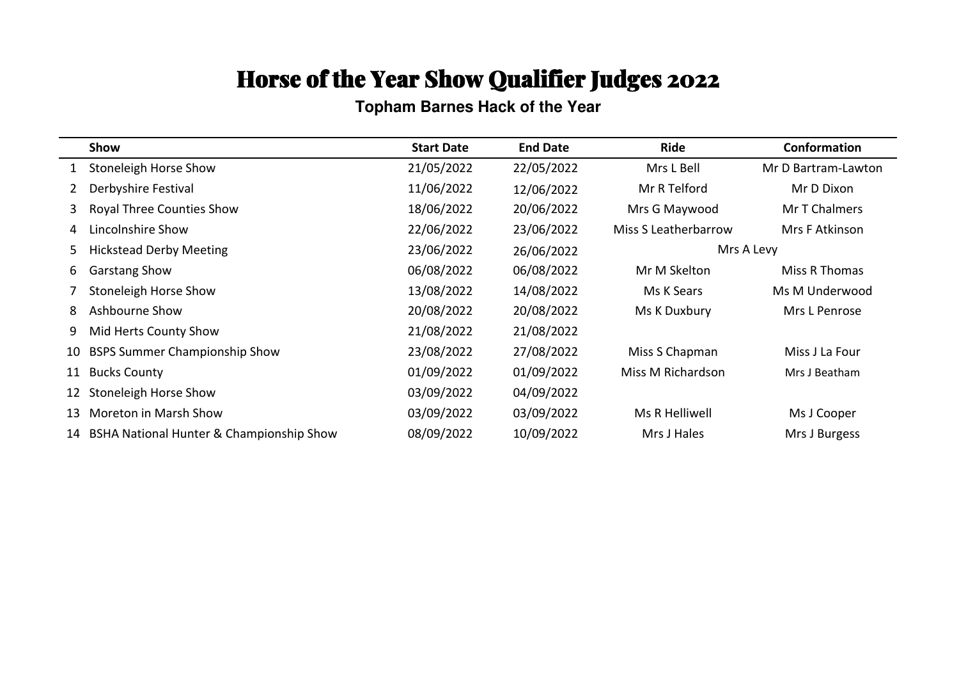#### **Topham Barnes Hack of the Year**

|              | Show                                     | <b>Start Date</b> | <b>End Date</b> | <b>Ride</b>                 | Conformation        |
|--------------|------------------------------------------|-------------------|-----------------|-----------------------------|---------------------|
| $\mathbf{1}$ | <b>Stoneleigh Horse Show</b>             | 21/05/2022        | 22/05/2022      | Mrs L Bell                  | Mr D Bartram-Lawton |
|              | Derbyshire Festival                      | 11/06/2022        | 12/06/2022      | Mr R Telford                | Mr D Dixon          |
| 3            | <b>Royal Three Counties Show</b>         | 18/06/2022        | 20/06/2022      | Mrs G Maywood               | Mr T Chalmers       |
| 4            | Lincolnshire Show                        | 22/06/2022        | 23/06/2022      | <b>Miss S Leatherbarrow</b> | Mrs F Atkinson      |
| 5.           | <b>Hickstead Derby Meeting</b>           | 23/06/2022        | 26/06/2022      |                             | Mrs A Levy          |
| 6            | <b>Garstang Show</b>                     | 06/08/2022        | 06/08/2022      | Mr M Skelton                | Miss R Thomas       |
|              | Stoneleigh Horse Show                    | 13/08/2022        | 14/08/2022      | Ms K Sears                  | Ms M Underwood      |
| 8            | Ashbourne Show                           | 20/08/2022        | 20/08/2022      | Ms K Duxbury                | Mrs L Penrose       |
| 9            | Mid Herts County Show                    | 21/08/2022        | 21/08/2022      |                             |                     |
| 10           | <b>BSPS Summer Championship Show</b>     | 23/08/2022        | 27/08/2022      | Miss S Chapman              | Miss J La Four      |
| 11           | <b>Bucks County</b>                      | 01/09/2022        | 01/09/2022      | Miss M Richardson           | Mrs J Beatham       |
| 12           | Stoneleigh Horse Show                    | 03/09/2022        | 04/09/2022      |                             |                     |
| 13           | Moreton in Marsh Show                    | 03/09/2022        | 03/09/2022      | Ms R Helliwell              | Ms J Cooper         |
| 14           | BSHA National Hunter & Championship Show | 08/09/2022        | 10/09/2022      | Mrs J Hales                 | Mrs J Burgess       |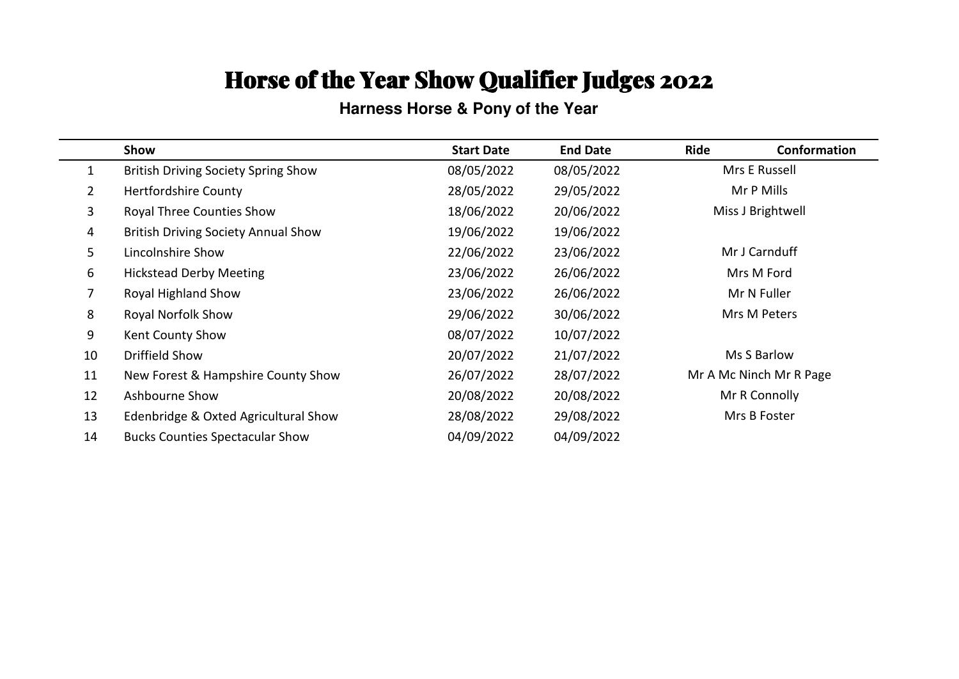#### **Harness Horse & Pony of the Year**

|                | Show                                       | <b>Start Date</b> | <b>End Date</b> | Ride<br>Conformation    |  |
|----------------|--------------------------------------------|-------------------|-----------------|-------------------------|--|
| $\mathbf{1}$   | <b>British Driving Society Spring Show</b> | 08/05/2022        | 08/05/2022      | Mrs E Russell           |  |
| $\overline{2}$ | <b>Hertfordshire County</b>                | 28/05/2022        | 29/05/2022      | Mr P Mills              |  |
| 3              | <b>Royal Three Counties Show</b>           | 18/06/2022        | 20/06/2022      | Miss J Brightwell       |  |
| $\overline{4}$ | <b>British Driving Society Annual Show</b> | 19/06/2022        | 19/06/2022      |                         |  |
| 5              | Lincolnshire Show                          | 22/06/2022        | 23/06/2022      | Mr J Carnduff           |  |
| 6              | <b>Hickstead Derby Meeting</b>             | 23/06/2022        | 26/06/2022      | Mrs M Ford              |  |
| $\overline{7}$ | Royal Highland Show                        | 23/06/2022        | 26/06/2022      | Mr N Fuller             |  |
| 8              | <b>Royal Norfolk Show</b>                  | 29/06/2022        | 30/06/2022      | Mrs M Peters            |  |
| 9              | Kent County Show                           | 08/07/2022        | 10/07/2022      |                         |  |
| 10             | Driffield Show                             | 20/07/2022        | 21/07/2022      | Ms S Barlow             |  |
| 11             | New Forest & Hampshire County Show         | 26/07/2022        | 28/07/2022      | Mr A Mc Ninch Mr R Page |  |
| 12             | Ashbourne Show                             | 20/08/2022        | 20/08/2022      | Mr R Connolly           |  |
| 13             | Edenbridge & Oxted Agricultural Show       | 28/08/2022        | 29/08/2022      | Mrs B Foster            |  |
| 14             | <b>Bucks Counties Spectacular Show</b>     | 04/09/2022        | 04/09/2022      |                         |  |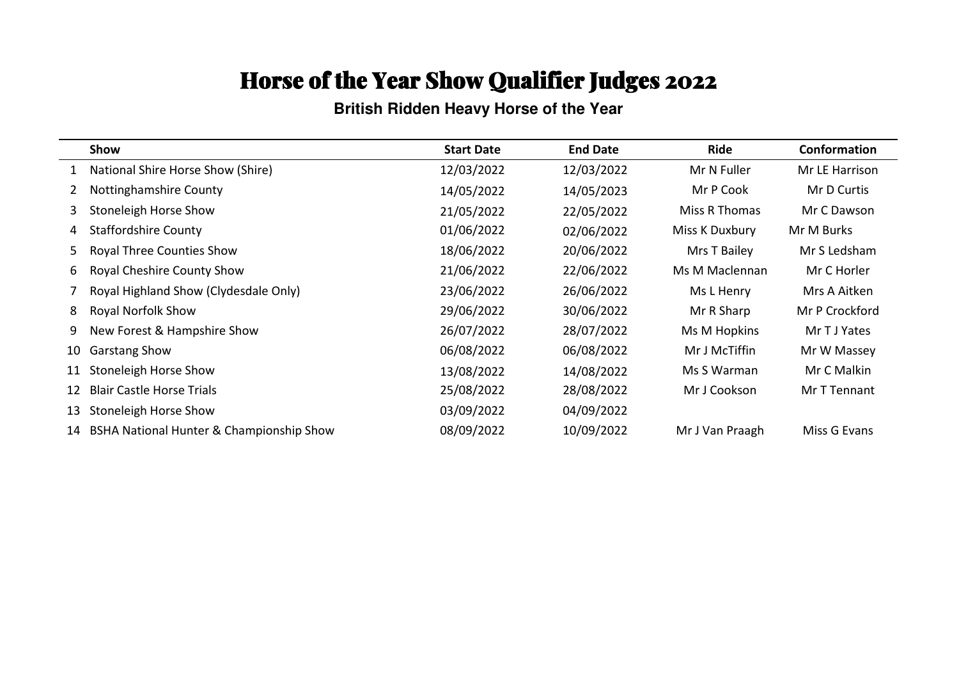**British Ridden Heavy Horse of the Year**

|    | Show                                     | <b>Start Date</b> | <b>End Date</b> | Ride            | Conformation   |
|----|------------------------------------------|-------------------|-----------------|-----------------|----------------|
|    | 1 National Shire Horse Show (Shire)      | 12/03/2022        | 12/03/2022      | Mr N Fuller     | Mr LE Harrison |
|    | Nottinghamshire County                   | 14/05/2022        | 14/05/2023      | Mr P Cook       | Mr D Curtis    |
| 3. | Stoneleigh Horse Show                    | 21/05/2022        | 22/05/2022      | Miss R Thomas   | Mr C Dawson    |
| 4  | <b>Staffordshire County</b>              | 01/06/2022        | 02/06/2022      | Miss K Duxbury  | Mr M Burks     |
| 5. | <b>Royal Three Counties Show</b>         | 18/06/2022        | 20/06/2022      | Mrs T Bailey    | Mr S Ledsham   |
| 6. | Royal Cheshire County Show               | 21/06/2022        | 22/06/2022      | Ms M Maclennan  | Mr C Horler    |
|    | Royal Highland Show (Clydesdale Only)    | 23/06/2022        | 26/06/2022      | Ms L Henry      | Mrs A Aitken   |
| 8  | <b>Royal Norfolk Show</b>                | 29/06/2022        | 30/06/2022      | Mr R Sharp      | Mr P Crockford |
| 9  | New Forest & Hampshire Show              | 26/07/2022        | 28/07/2022      | Ms M Hopkins    | Mr T J Yates   |
| 10 | <b>Garstang Show</b>                     | 06/08/2022        | 06/08/2022      | Mr J McTiffin   | Mr W Massey    |
| 11 | Stoneleigh Horse Show                    | 13/08/2022        | 14/08/2022      | Ms S Warman     | Mr C Malkin    |
| 12 | <b>Blair Castle Horse Trials</b>         | 25/08/2022        | 28/08/2022      | Mr J Cookson    | Mr T Tennant   |
| 13 | Stoneleigh Horse Show                    | 03/09/2022        | 04/09/2022      |                 |                |
| 14 | BSHA National Hunter & Championship Show | 08/09/2022        | 10/09/2022      | Mr J Van Praagh | Miss G Evans   |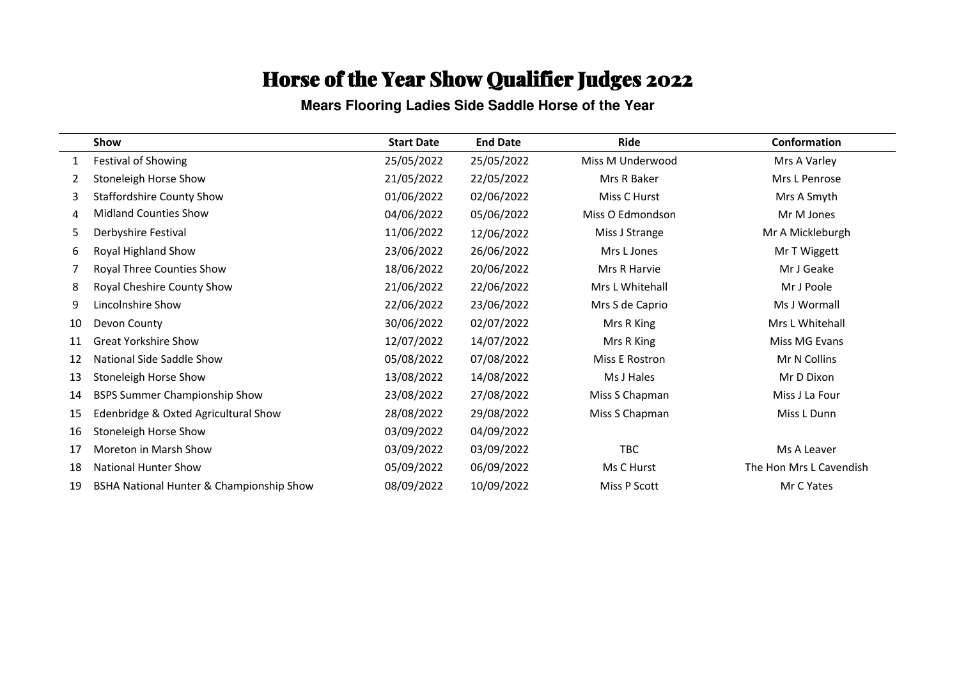**Mears Flooring Ladies Side Saddle Horse of the Year**

|    | <b>Show</b>                              | <b>Start Date</b> | <b>End Date</b> | Ride             | Conformation            |
|----|------------------------------------------|-------------------|-----------------|------------------|-------------------------|
|    | Festival of Showing                      | 25/05/2022        | 25/05/2022      | Miss M Underwood | Mrs A Varley            |
|    | Stoneleigh Horse Show                    | 21/05/2022        | 22/05/2022      | Mrs R Baker      | Mrs L Penrose           |
| 3  | <b>Staffordshire County Show</b>         | 01/06/2022        | 02/06/2022      | Miss C Hurst     | Mrs A Smyth             |
| 4  | <b>Midland Counties Show</b>             | 04/06/2022        | 05/06/2022      | Miss O Edmondson | Mr M Jones              |
| 5  | Derbyshire Festival                      | 11/06/2022        | 12/06/2022      | Miss J Strange   | Mr A Mickleburgh        |
| 6  | Royal Highland Show                      | 23/06/2022        | 26/06/2022      | Mrs L Jones      | Mr T Wiggett            |
|    | Royal Three Counties Show                | 18/06/2022        | 20/06/2022      | Mrs R Harvie     | Mr J Geake              |
| 8  | Royal Cheshire County Show               | 21/06/2022        | 22/06/2022      | Mrs L Whitehall  | Mr J Poole              |
| 9  | Lincolnshire Show                        | 22/06/2022        | 23/06/2022      | Mrs S de Caprio  | Ms J Wormall            |
| 10 | Devon County                             | 30/06/2022        | 02/07/2022      | Mrs R King       | Mrs L Whitehall         |
| 11 | <b>Great Yorkshire Show</b>              | 12/07/2022        | 14/07/2022      | Mrs R King       | Miss MG Evans           |
| 12 | National Side Saddle Show                | 05/08/2022        | 07/08/2022      | Miss E Rostron   | Mr N Collins            |
| 13 | Stoneleigh Horse Show                    | 13/08/2022        | 14/08/2022      | Ms J Hales       | Mr D Dixon              |
| 14 | <b>BSPS Summer Championship Show</b>     | 23/08/2022        | 27/08/2022      | Miss S Chapman   | Miss J La Four          |
| 15 | Edenbridge & Oxted Agricultural Show     | 28/08/2022        | 29/08/2022      | Miss S Chapman   | Miss L Dunn             |
| 16 | Stoneleigh Horse Show                    | 03/09/2022        | 04/09/2022      |                  |                         |
| 17 | Moreton in Marsh Show                    | 03/09/2022        | 03/09/2022      | <b>TBC</b>       | Ms A Leaver             |
| 18 | <b>National Hunter Show</b>              | 05/09/2022        | 06/09/2022      | Ms C Hurst       | The Hon Mrs L Cavendish |
| 19 | BSHA National Hunter & Championship Show | 08/09/2022        | 10/09/2022      | Miss P Scott     | Mr C Yates              |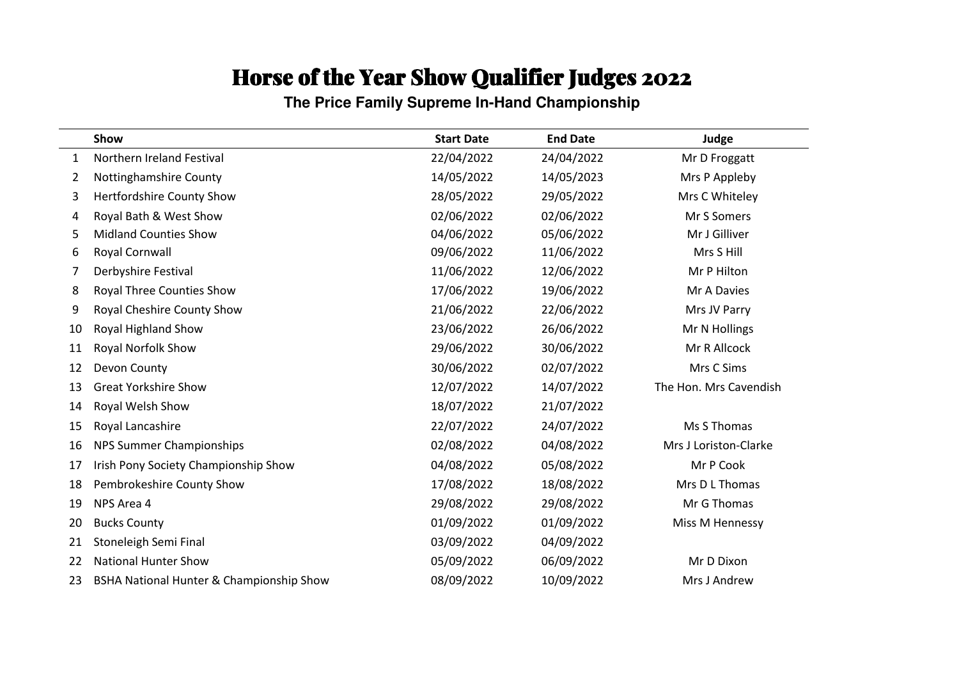**The Price Family Supreme In-Hand Championship**

|    | Show                                     | <b>Start Date</b> | <b>End Date</b> | Judge                  |
|----|------------------------------------------|-------------------|-----------------|------------------------|
| 1  | Northern Ireland Festival                | 22/04/2022        | 24/04/2022      | Mr D Froggatt          |
| 2  | Nottinghamshire County                   | 14/05/2022        | 14/05/2023      | Mrs P Appleby          |
| 3  | Hertfordshire County Show                | 28/05/2022        | 29/05/2022      | Mrs C Whiteley         |
| 4  | Royal Bath & West Show                   | 02/06/2022        | 02/06/2022      | Mr S Somers            |
| 5  | <b>Midland Counties Show</b>             | 04/06/2022        | 05/06/2022      | Mr J Gilliver          |
| 6  | Royal Cornwall                           | 09/06/2022        | 11/06/2022      | Mrs S Hill             |
| 7  | Derbyshire Festival                      | 11/06/2022        | 12/06/2022      | Mr P Hilton            |
| 8  | <b>Royal Three Counties Show</b>         | 17/06/2022        | 19/06/2022      | Mr A Davies            |
| 9  | Royal Cheshire County Show               | 21/06/2022        | 22/06/2022      | Mrs JV Parry           |
| 10 | Royal Highland Show                      | 23/06/2022        | 26/06/2022      | Mr N Hollings          |
| 11 | Royal Norfolk Show                       | 29/06/2022        | 30/06/2022      | Mr R Allcock           |
| 12 | Devon County                             | 30/06/2022        | 02/07/2022      | Mrs C Sims             |
| 13 | <b>Great Yorkshire Show</b>              | 12/07/2022        | 14/07/2022      | The Hon. Mrs Cavendish |
| 14 | Royal Welsh Show                         | 18/07/2022        | 21/07/2022      |                        |
| 15 | Royal Lancashire                         | 22/07/2022        | 24/07/2022      | Ms S Thomas            |
| 16 | NPS Summer Championships                 | 02/08/2022        | 04/08/2022      | Mrs J Loriston-Clarke  |
| 17 | Irish Pony Society Championship Show     | 04/08/2022        | 05/08/2022      | Mr P Cook              |
| 18 | Pembrokeshire County Show                | 17/08/2022        | 18/08/2022      | Mrs D L Thomas         |
| 19 | NPS Area 4                               | 29/08/2022        | 29/08/2022      | Mr G Thomas            |
| 20 | <b>Bucks County</b>                      | 01/09/2022        | 01/09/2022      | Miss M Hennessy        |
| 21 | Stoneleigh Semi Final                    | 03/09/2022        | 04/09/2022      |                        |
| 22 | <b>National Hunter Show</b>              | 05/09/2022        | 06/09/2022      | Mr D Dixon             |
| 23 | BSHA National Hunter & Championship Show | 08/09/2022        | 10/09/2022      | Mrs J Andrew           |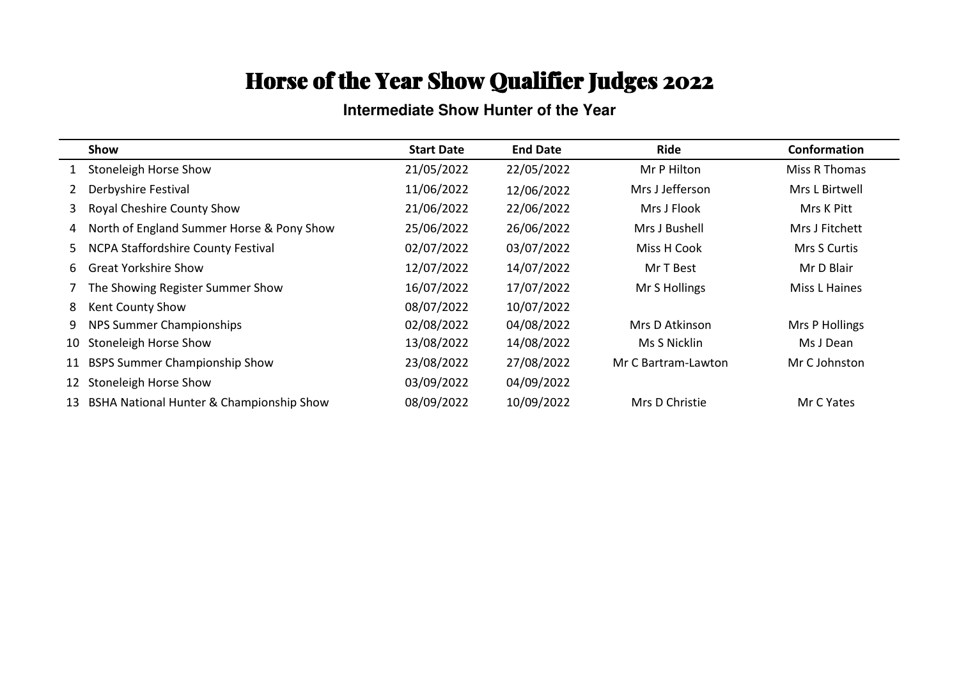#### **Intermediate Show Hunter of the Year**

|              | Show                                      | <b>Start Date</b> | <b>End Date</b> | Ride                | Conformation   |
|--------------|-------------------------------------------|-------------------|-----------------|---------------------|----------------|
|              | Stoneleigh Horse Show                     | 21/05/2022        | 22/05/2022      | Mr P Hilton         | Miss R Thomas  |
| $\mathbf{2}$ | Derbyshire Festival                       | 11/06/2022        | 12/06/2022      | Mrs J Jefferson     | Mrs L Birtwell |
| 3            | Royal Cheshire County Show                | 21/06/2022        | 22/06/2022      | Mrs J Flook         | Mrs K Pitt     |
| 4            | North of England Summer Horse & Pony Show | 25/06/2022        | 26/06/2022      | Mrs J Bushell       | Mrs J Fitchett |
| 5            | <b>NCPA Staffordshire County Festival</b> | 02/07/2022        | 03/07/2022      | Miss H Cook         | Mrs S Curtis   |
| 6            | <b>Great Yorkshire Show</b>               | 12/07/2022        | 14/07/2022      | Mr T Best           | Mr D Blair     |
|              | The Showing Register Summer Show          | 16/07/2022        | 17/07/2022      | Mr S Hollings       | Miss L Haines  |
| 8            | Kent County Show                          | 08/07/2022        | 10/07/2022      |                     |                |
| 9            | NPS Summer Championships                  | 02/08/2022        | 04/08/2022      | Mrs D Atkinson      | Mrs P Hollings |
| 10           | Stoneleigh Horse Show                     | 13/08/2022        | 14/08/2022      | Ms S Nicklin        | Ms J Dean      |
| 11           | <b>BSPS Summer Championship Show</b>      | 23/08/2022        | 27/08/2022      | Mr C Bartram-Lawton | Mr C Johnston  |
| 12           | Stoneleigh Horse Show                     | 03/09/2022        | 04/09/2022      |                     |                |
| 13           | BSHA National Hunter & Championship Show  | 08/09/2022        | 10/09/2022      | Mrs D Christie      | Mr C Yates     |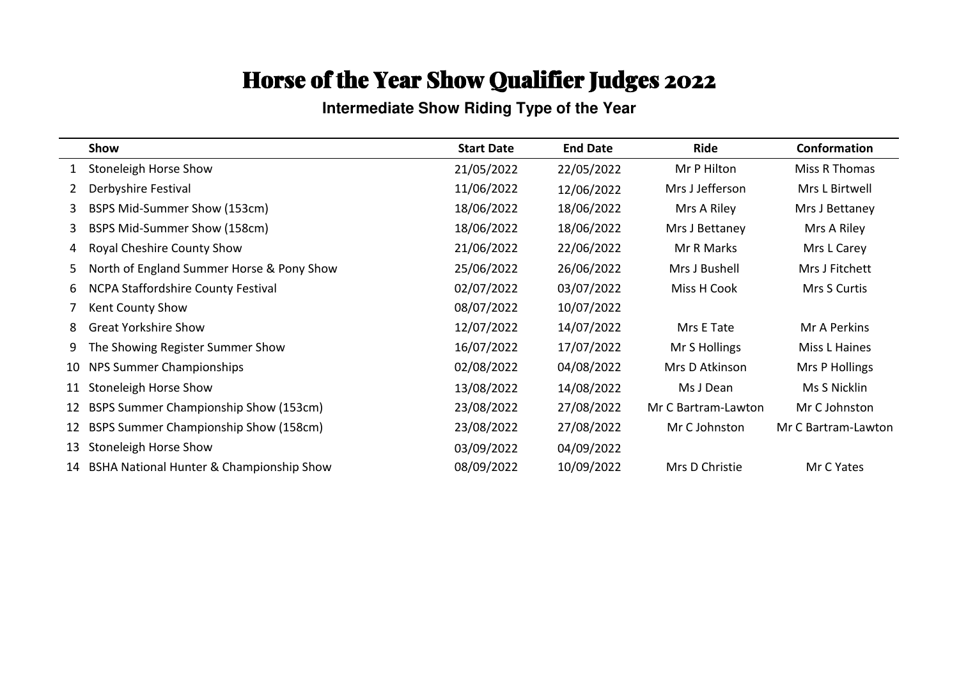**Intermediate Show Riding Type of the Year**

|    | Show                                      | <b>Start Date</b> | <b>End Date</b> | Ride                | Conformation        |
|----|-------------------------------------------|-------------------|-----------------|---------------------|---------------------|
| 1  | <b>Stoneleigh Horse Show</b>              | 21/05/2022        | 22/05/2022      | Mr P Hilton         | Miss R Thomas       |
| 2  | Derbyshire Festival                       | 11/06/2022        | 12/06/2022      | Mrs J Jefferson     | Mrs L Birtwell      |
| 3  | BSPS Mid-Summer Show (153cm)              | 18/06/2022        | 18/06/2022      | Mrs A Riley         | Mrs J Bettaney      |
| 3  | BSPS Mid-Summer Show (158cm)              | 18/06/2022        | 18/06/2022      | Mrs J Bettaney      | Mrs A Riley         |
| 4  | Royal Cheshire County Show                | 21/06/2022        | 22/06/2022      | Mr R Marks          | Mrs L Carey         |
| 5. | North of England Summer Horse & Pony Show | 25/06/2022        | 26/06/2022      | Mrs J Bushell       | Mrs J Fitchett      |
| 6  | NCPA Staffordshire County Festival        | 02/07/2022        | 03/07/2022      | Miss H Cook         | Mrs S Curtis        |
|    | Kent County Show                          | 08/07/2022        | 10/07/2022      |                     |                     |
| 8  | <b>Great Yorkshire Show</b>               | 12/07/2022        | 14/07/2022      | Mrs E Tate          | Mr A Perkins        |
| 9  | The Showing Register Summer Show          | 16/07/2022        | 17/07/2022      | Mr S Hollings       | Miss L Haines       |
| 10 | NPS Summer Championships                  | 02/08/2022        | 04/08/2022      | Mrs D Atkinson      | Mrs P Hollings      |
| 11 | Stoneleigh Horse Show                     | 13/08/2022        | 14/08/2022      | Ms J Dean           | Ms S Nicklin        |
| 12 | BSPS Summer Championship Show (153cm)     | 23/08/2022        | 27/08/2022      | Mr C Bartram-Lawton | Mr C Johnston       |
| 12 | BSPS Summer Championship Show (158cm)     | 23/08/2022        | 27/08/2022      | Mr C Johnston       | Mr C Bartram-Lawton |
| 13 | Stoneleigh Horse Show                     | 03/09/2022        | 04/09/2022      |                     |                     |
| 14 | BSHA National Hunter & Championship Show  | 08/09/2022        | 10/09/2022      | Mrs D Christie      | Mr C Yates          |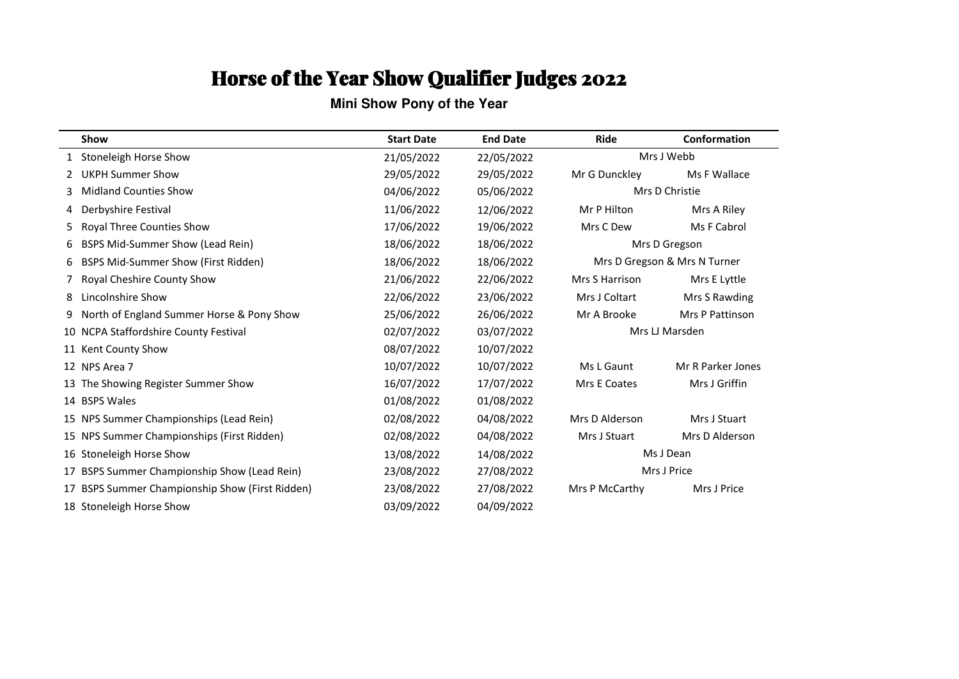**Mini Show Pony of the Year**

|    | Show                                         | <b>Start Date</b> | <b>End Date</b> | <b>Ride</b>    | Conformation                 |
|----|----------------------------------------------|-------------------|-----------------|----------------|------------------------------|
|    | <b>Stoneleigh Horse Show</b>                 | 21/05/2022        | 22/05/2022      |                | Mrs J Webb                   |
|    | <b>UKPH Summer Show</b>                      | 29/05/2022        | 29/05/2022      | Mr G Dunckley  | Ms F Wallace                 |
| 3  | <b>Midland Counties Show</b>                 | 04/06/2022        | 05/06/2022      |                | Mrs D Christie               |
| 4  | Derbyshire Festival                          | 11/06/2022        | 12/06/2022      | Mr P Hilton    | Mrs A Riley                  |
| 5  | Royal Three Counties Show                    | 17/06/2022        | 19/06/2022      | Mrs C Dew      | Ms F Cabrol                  |
| 6  | BSPS Mid-Summer Show (Lead Rein)             | 18/06/2022        | 18/06/2022      |                | Mrs D Gregson                |
| 6  | <b>BSPS Mid-Summer Show (First Ridden)</b>   | 18/06/2022        | 18/06/2022      |                | Mrs D Gregson & Mrs N Turner |
|    | Royal Cheshire County Show                   | 21/06/2022        | 22/06/2022      | Mrs S Harrison | Mrs E Lyttle                 |
| 8  | Lincolnshire Show                            | 22/06/2022        | 23/06/2022      | Mrs J Coltart  | Mrs S Rawding                |
| 9  | North of England Summer Horse & Pony Show    | 25/06/2022        | 26/06/2022      | Mr A Brooke    | <b>Mrs P Pattinson</b>       |
| 10 | NCPA Staffordshire County Festival           | 02/07/2022        | 03/07/2022      | Mrs LJ Marsden |                              |
|    | 11 Kent County Show                          | 08/07/2022        | 10/07/2022      |                |                              |
|    | 12 NPS Area 7                                | 10/07/2022        | 10/07/2022      | Ms L Gaunt     | Mr R Parker Jones            |
|    | The Showing Register Summer Show             | 16/07/2022        | 17/07/2022      | Mrs E Coates   | Mrs J Griffin                |
|    | 14 BSPS Wales                                | 01/08/2022        | 01/08/2022      |                |                              |
|    | 15 NPS Summer Championships (Lead Rein)      | 02/08/2022        | 04/08/2022      | Mrs D Alderson | Mrs J Stuart                 |
|    | 15 NPS Summer Championships (First Ridden)   | 02/08/2022        | 04/08/2022      | Mrs J Stuart   | Mrs D Alderson               |
|    | 16 Stoneleigh Horse Show                     | 13/08/2022        | 14/08/2022      |                | Ms J Dean                    |
| 17 | BSPS Summer Championship Show (Lead Rein)    | 23/08/2022        | 27/08/2022      |                | Mrs J Price                  |
|    | BSPS Summer Championship Show (First Ridden) | 23/08/2022        | 27/08/2022      | Mrs P McCarthy | Mrs J Price                  |
|    | 18 Stoneleigh Horse Show                     | 03/09/2022        | 04/09/2022      |                |                              |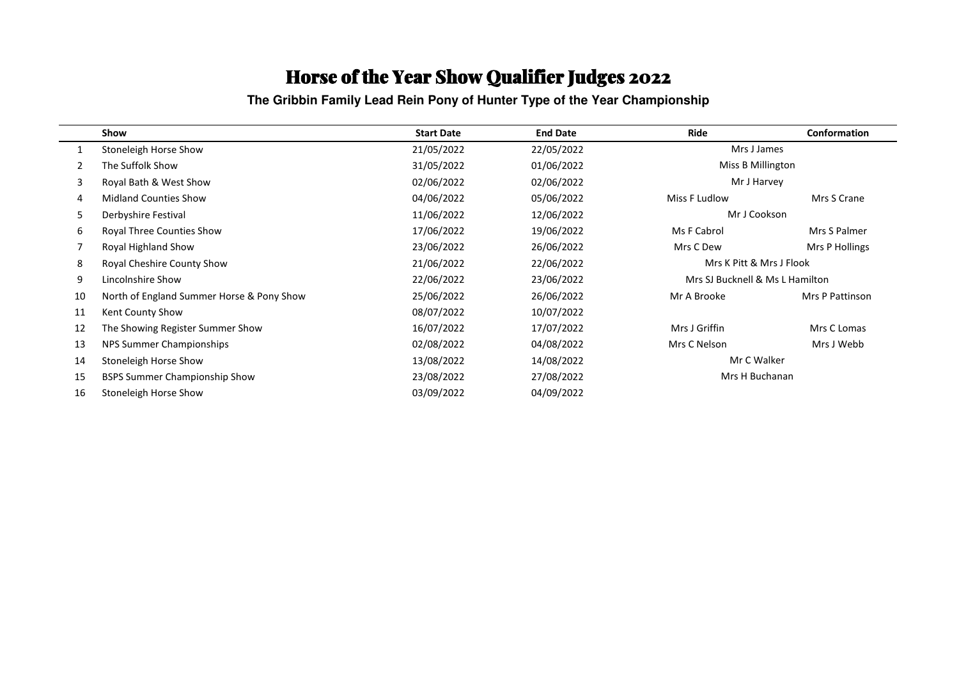**The Gribbin Family Lead Rein Pony of Hunter Type of the Year Championship**

|    | Show                                      | <b>Start Date</b> | <b>End Date</b> | Ride                            | Conformation    |  |
|----|-------------------------------------------|-------------------|-----------------|---------------------------------|-----------------|--|
|    | Stoneleigh Horse Show                     | 21/05/2022        | 22/05/2022      | Mrs J James                     |                 |  |
|    | The Suffolk Show                          | 31/05/2022        | 01/06/2022      | Miss B Millington               |                 |  |
| 3  | Royal Bath & West Show                    | 02/06/2022        | 02/06/2022      | Mr J Harvey                     |                 |  |
| 4  | <b>Midland Counties Show</b>              | 04/06/2022        | 05/06/2022      | Miss F Ludlow                   | Mrs S Crane     |  |
| 5. | Derbyshire Festival                       | 11/06/2022        | 12/06/2022      | Mr J Cookson                    |                 |  |
| 6  | <b>Royal Three Counties Show</b>          | 17/06/2022        | 19/06/2022      | Ms F Cabrol                     | Mrs S Palmer    |  |
|    | Royal Highland Show                       | 23/06/2022        | 26/06/2022      | Mrs C Dew                       | Mrs P Hollings  |  |
| 8  | Royal Cheshire County Show                | 21/06/2022        | 22/06/2022      | Mrs K Pitt & Mrs J Flook        |                 |  |
| 9  | Lincolnshire Show                         | 22/06/2022        | 23/06/2022      | Mrs SJ Bucknell & Ms L Hamilton |                 |  |
| 10 | North of England Summer Horse & Pony Show | 25/06/2022        | 26/06/2022      | Mr A Brooke                     | Mrs P Pattinson |  |
| 11 | Kent County Show                          | 08/07/2022        | 10/07/2022      |                                 |                 |  |
| 12 | The Showing Register Summer Show          | 16/07/2022        | 17/07/2022      | Mrs J Griffin                   | Mrs C Lomas     |  |
| 13 | NPS Summer Championships                  | 02/08/2022        | 04/08/2022      | Mrs C Nelson                    | Mrs J Webb      |  |
| 14 | Stoneleigh Horse Show                     | 13/08/2022        | 14/08/2022      |                                 | Mr C Walker     |  |
| 15 | <b>BSPS Summer Championship Show</b>      | 23/08/2022        | 27/08/2022      | Mrs H Buchanan                  |                 |  |
| 16 | Stoneleigh Horse Show                     | 03/09/2022        | 04/09/2022      |                                 |                 |  |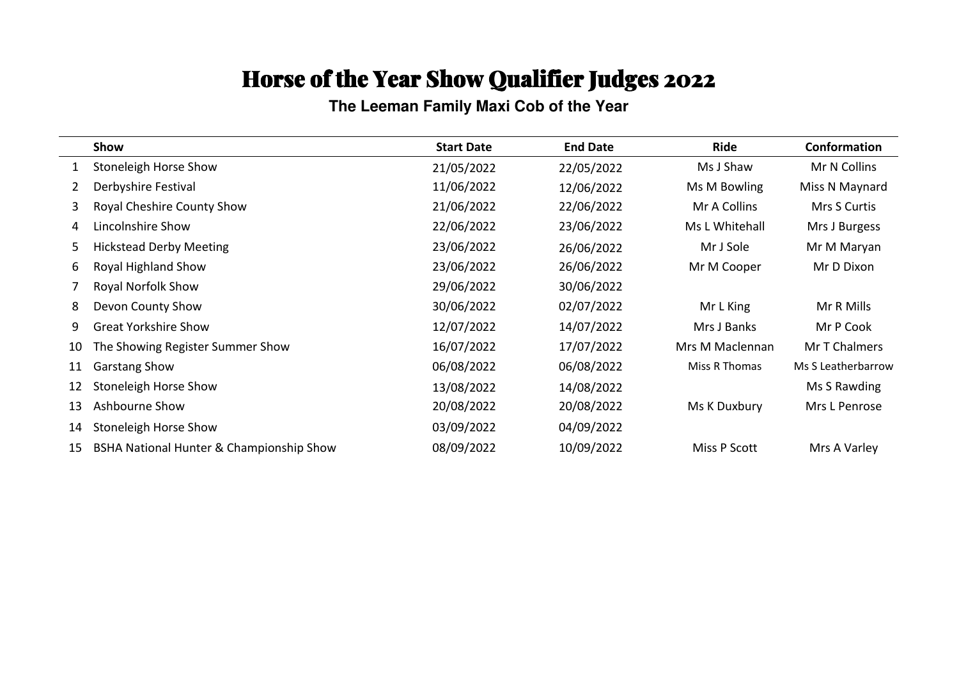**The Leeman Family Maxi Cob of the Year**

|    | Show                                     | <b>Start Date</b> | <b>End Date</b> | Ride            | Conformation       |
|----|------------------------------------------|-------------------|-----------------|-----------------|--------------------|
|    | Stoneleigh Horse Show                    | 21/05/2022        | 22/05/2022      | Ms J Shaw       | Mr N Collins       |
| 2  | Derbyshire Festival                      | 11/06/2022        | 12/06/2022      | Ms M Bowling    | Miss N Maynard     |
| 3  | Royal Cheshire County Show               | 21/06/2022        | 22/06/2022      | Mr A Collins    | Mrs S Curtis       |
| 4  | Lincolnshire Show                        | 22/06/2022        | 23/06/2022      | Ms L Whitehall  | Mrs J Burgess      |
| 5  | <b>Hickstead Derby Meeting</b>           | 23/06/2022        | 26/06/2022      | Mr J Sole       | Mr M Maryan        |
| 6  | Royal Highland Show                      | 23/06/2022        | 26/06/2022      | Mr M Cooper     | Mr D Dixon         |
|    | Royal Norfolk Show                       | 29/06/2022        | 30/06/2022      |                 |                    |
| 8  | Devon County Show                        | 30/06/2022        | 02/07/2022      | Mr L King       | Mr R Mills         |
| 9  | <b>Great Yorkshire Show</b>              | 12/07/2022        | 14/07/2022      | Mrs J Banks     | Mr P Cook          |
| 10 | The Showing Register Summer Show         | 16/07/2022        | 17/07/2022      | Mrs M Maclennan | Mr T Chalmers      |
| 11 | <b>Garstang Show</b>                     | 06/08/2022        | 06/08/2022      | Miss R Thomas   | Ms S Leatherbarrow |
| 12 | Stoneleigh Horse Show                    | 13/08/2022        | 14/08/2022      |                 | Ms S Rawding       |
| 13 | Ashbourne Show                           | 20/08/2022        | 20/08/2022      | Ms K Duxbury    | Mrs L Penrose      |
| 14 | Stoneleigh Horse Show                    | 03/09/2022        | 04/09/2022      |                 |                    |
| 15 | BSHA National Hunter & Championship Show | 08/09/2022        | 10/09/2022      | Miss P Scott    | Mrs A Varley       |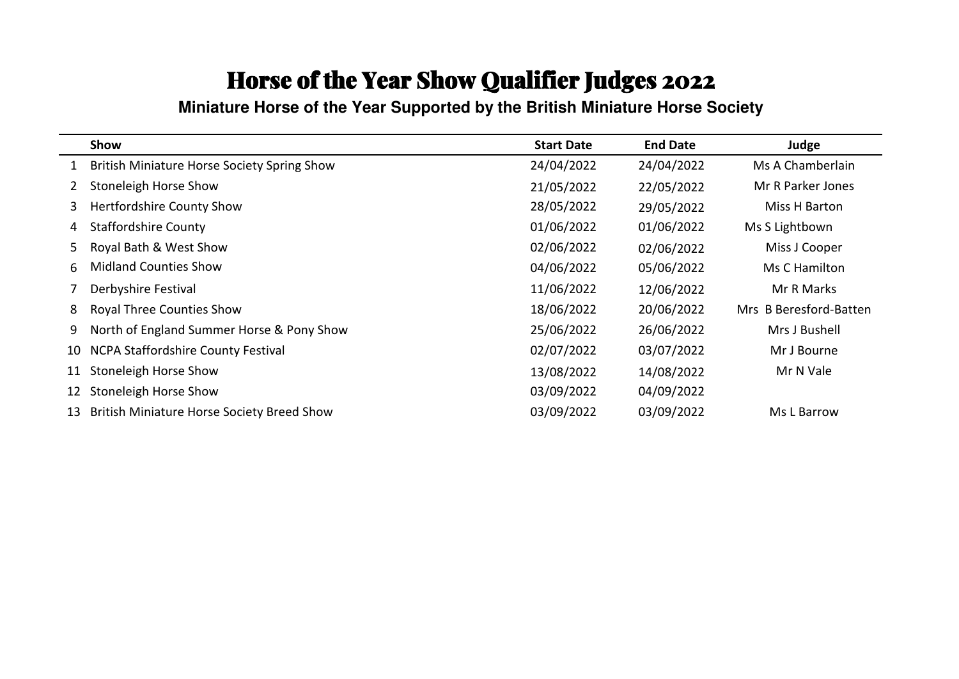**Miniature Horse of the Year Supported by the British Miniature Horse Society**

|    | Show                                        | <b>Start Date</b> | <b>End Date</b> | Judge                  |
|----|---------------------------------------------|-------------------|-----------------|------------------------|
|    | British Miniature Horse Society Spring Show | 24/04/2022        | 24/04/2022      | Ms A Chamberlain       |
|    | Stoneleigh Horse Show                       | 21/05/2022        | 22/05/2022      | Mr R Parker Jones      |
| 3  | <b>Hertfordshire County Show</b>            | 28/05/2022        | 29/05/2022      | Miss H Barton          |
| 4  | <b>Staffordshire County</b>                 | 01/06/2022        | 01/06/2022      | Ms S Lightbown         |
| 5  | Royal Bath & West Show                      | 02/06/2022        | 02/06/2022      | Miss J Cooper          |
| 6  | <b>Midland Counties Show</b>                | 04/06/2022        | 05/06/2022      | Ms C Hamilton          |
|    | Derbyshire Festival                         | 11/06/2022        | 12/06/2022      | Mr R Marks             |
| 8  | <b>Royal Three Counties Show</b>            | 18/06/2022        | 20/06/2022      | Mrs B Beresford-Batten |
| 9  | North of England Summer Horse & Pony Show   | 25/06/2022        | 26/06/2022      | Mrs J Bushell          |
| 10 | NCPA Staffordshire County Festival          | 02/07/2022        | 03/07/2022      | Mr J Bourne            |
| 11 | Stoneleigh Horse Show                       | 13/08/2022        | 14/08/2022      | Mr N Vale              |
| 12 | Stoneleigh Horse Show                       | 03/09/2022        | 04/09/2022      |                        |
| 13 | British Miniature Horse Society Breed Show  | 03/09/2022        | 03/09/2022      | Ms L Barrow            |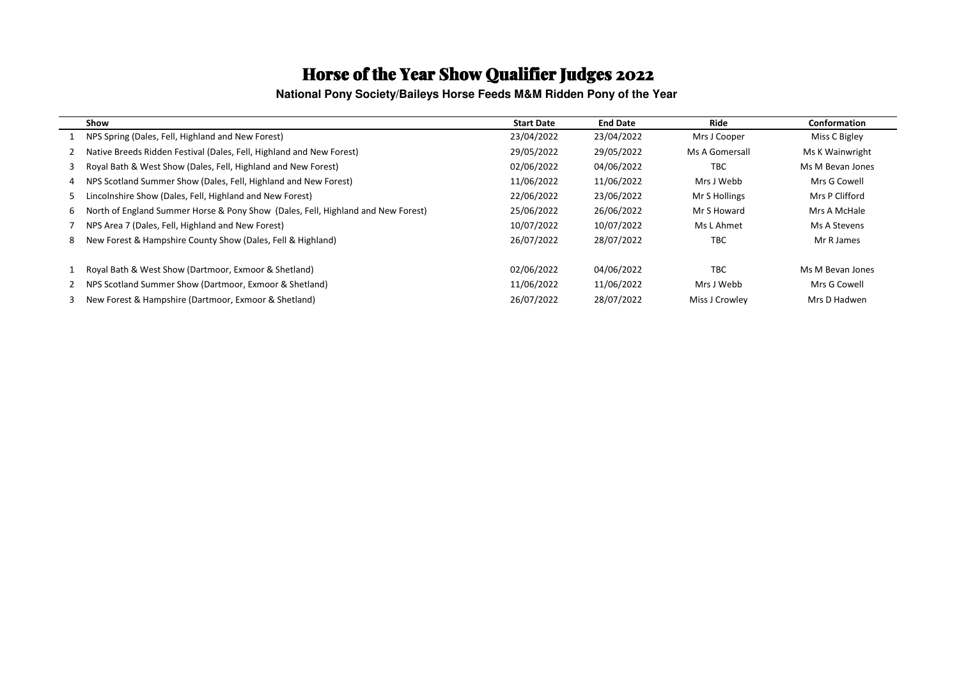**National Pony Society/Baileys Horse Feeds M&M Ridden Pony of the Year** 

|   | Show                                                                             | <b>Start Date</b> | <b>End Date</b> | Ride           | Conformation     |
|---|----------------------------------------------------------------------------------|-------------------|-----------------|----------------|------------------|
|   | NPS Spring (Dales, Fell, Highland and New Forest)                                | 23/04/2022        | 23/04/2022      | Mrs J Cooper   | Miss C Bigley    |
|   | Native Breeds Ridden Festival (Dales, Fell, Highland and New Forest)             | 29/05/2022        | 29/05/2022      | Ms A Gomersall | Ms K Wainwright  |
| 3 | Royal Bath & West Show (Dales, Fell, Highland and New Forest)                    | 02/06/2022        | 04/06/2022      | <b>TBC</b>     | Ms M Bevan Jones |
| 4 | NPS Scotland Summer Show (Dales, Fell, Highland and New Forest)                  | 11/06/2022        | 11/06/2022      | Mrs J Webb     | Mrs G Cowell     |
| 5 | Lincolnshire Show (Dales, Fell, Highland and New Forest)                         | 22/06/2022        | 23/06/2022      | Mr S Hollings  | Mrs P Clifford   |
| 6 | North of England Summer Horse & Pony Show (Dales, Fell, Highland and New Forest) | 25/06/2022        | 26/06/2022      | Mr S Howard    | Mrs A McHale     |
|   | NPS Area 7 (Dales, Fell, Highland and New Forest)                                | 10/07/2022        | 10/07/2022      | Ms L Ahmet     | Ms A Stevens     |
| 8 | New Forest & Hampshire County Show (Dales, Fell & Highland)                      | 26/07/2022        | 28/07/2022      | TBC            | Mr R James       |
|   | Royal Bath & West Show (Dartmoor, Exmoor & Shetland)                             | 02/06/2022        | 04/06/2022      | <b>TBC</b>     | Ms M Bevan Jones |
|   | NPS Scotland Summer Show (Dartmoor, Exmoor & Shetland)                           | 11/06/2022        | 11/06/2022      | Mrs J Webb     | Mrs G Cowell     |
|   | New Forest & Hampshire (Dartmoor, Exmoor & Shetland)                             | 26/07/2022        | 28/07/2022      | Miss J Crowley | Mrs D Hadwen     |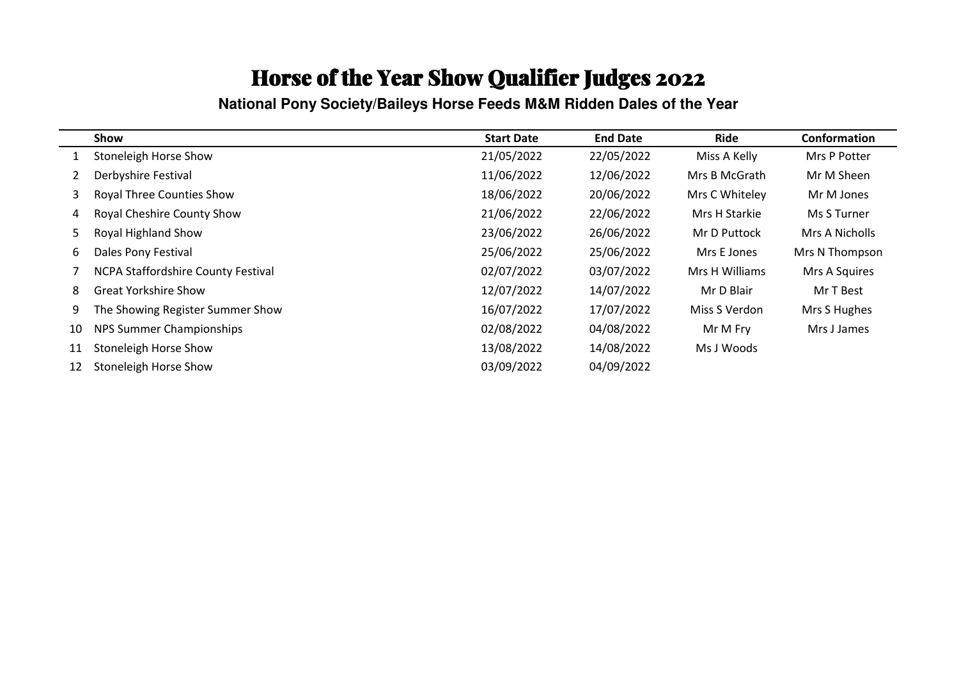**National Pony Society/Baileys Horse Feeds M&M Ridden Dales of the Year**

|    | Show                                      | <b>Start Date</b> | <b>End Date</b> | Ride           | Conformation   |
|----|-------------------------------------------|-------------------|-----------------|----------------|----------------|
|    | <b>Stoneleigh Horse Show</b>              | 21/05/2022        | 22/05/2022      | Miss A Kelly   | Mrs P Potter   |
|    | Derbyshire Festival                       | 11/06/2022        | 12/06/2022      | Mrs B McGrath  | Mr M Sheen     |
| 3  | <b>Royal Three Counties Show</b>          | 18/06/2022        | 20/06/2022      | Mrs C Whiteley | Mr M Jones     |
| 4  | Royal Cheshire County Show                | 21/06/2022        | 22/06/2022      | Mrs H Starkie  | Ms S Turner    |
| 5  | Royal Highland Show                       | 23/06/2022        | 26/06/2022      | Mr D Puttock   | Mrs A Nicholls |
| 6  | Dales Pony Festival                       | 25/06/2022        | 25/06/2022      | Mrs E Jones    | Mrs N Thompson |
|    | <b>NCPA Staffordshire County Festival</b> | 02/07/2022        | 03/07/2022      | Mrs H Williams | Mrs A Squires  |
| 8  | <b>Great Yorkshire Show</b>               | 12/07/2022        | 14/07/2022      | Mr D Blair     | Mr T Best      |
| 9  | The Showing Register Summer Show          | 16/07/2022        | 17/07/2022      | Miss S Verdon  | Mrs S Hughes   |
| 10 | NPS Summer Championships                  | 02/08/2022        | 04/08/2022      | Mr M Fry       | Mrs J James    |
| 11 | Stoneleigh Horse Show                     | 13/08/2022        | 14/08/2022      | Ms J Woods     |                |
| 12 | <b>Stoneleigh Horse Show</b>              | 03/09/2022        | 04/09/2022      |                |                |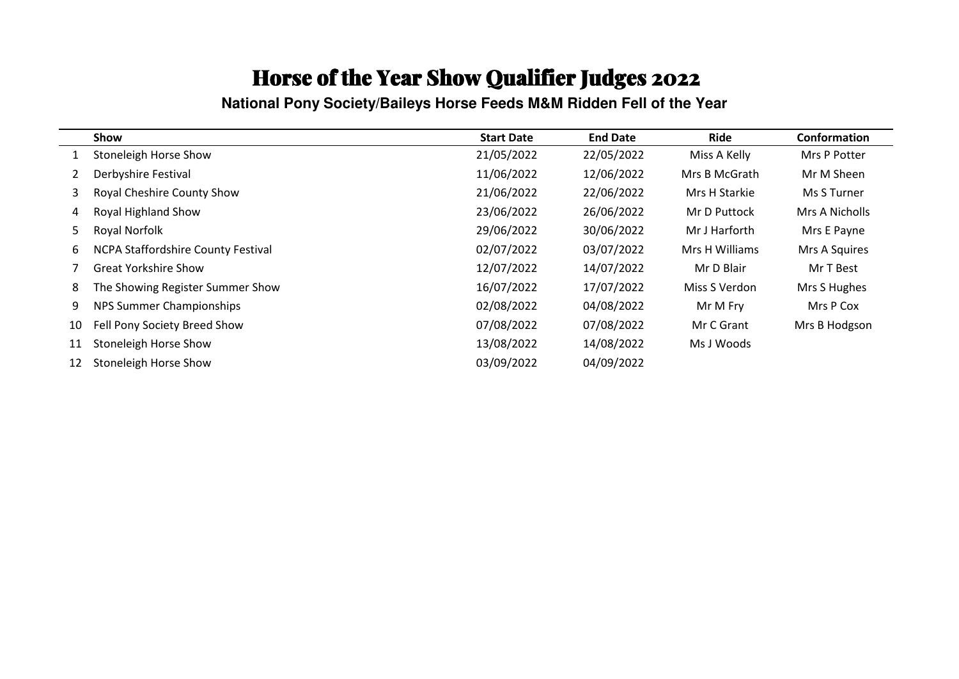**National Pony Society/Baileys Horse Feeds M&M Ridden Fell of the Year** 

|              | Show                               | <b>Start Date</b> | <b>End Date</b> | Ride           | Conformation   |
|--------------|------------------------------------|-------------------|-----------------|----------------|----------------|
| 1            | Stoneleigh Horse Show              | 21/05/2022        | 22/05/2022      | Miss A Kelly   | Mrs P Potter   |
| $\mathbf{2}$ | Derbyshire Festival                | 11/06/2022        | 12/06/2022      | Mrs B McGrath  | Mr M Sheen     |
| 3.           | Royal Cheshire County Show         | 21/06/2022        | 22/06/2022      | Mrs H Starkie  | Ms S Turner    |
| 4            | Royal Highland Show                | 23/06/2022        | 26/06/2022      | Mr D Puttock   | Mrs A Nicholls |
| 5.           | Royal Norfolk                      | 29/06/2022        | 30/06/2022      | Mr J Harforth  | Mrs E Payne    |
| 6            | NCPA Staffordshire County Festival | 02/07/2022        | 03/07/2022      | Mrs H Williams | Mrs A Squires  |
|              | <b>Great Yorkshire Show</b>        | 12/07/2022        | 14/07/2022      | Mr D Blair     | Mr T Best      |
| 8            | The Showing Register Summer Show   | 16/07/2022        | 17/07/2022      | Miss S Verdon  | Mrs S Hughes   |
| 9            | NPS Summer Championships           | 02/08/2022        | 04/08/2022      | Mr M Fry       | Mrs P Cox      |
| 10           | Fell Pony Society Breed Show       | 07/08/2022        | 07/08/2022      | Mr C Grant     | Mrs B Hodgson  |
| 11           | Stoneleigh Horse Show              | 13/08/2022        | 14/08/2022      | Ms J Woods     |                |
| 12           | Stoneleigh Horse Show              | 03/09/2022        | 04/09/2022      |                |                |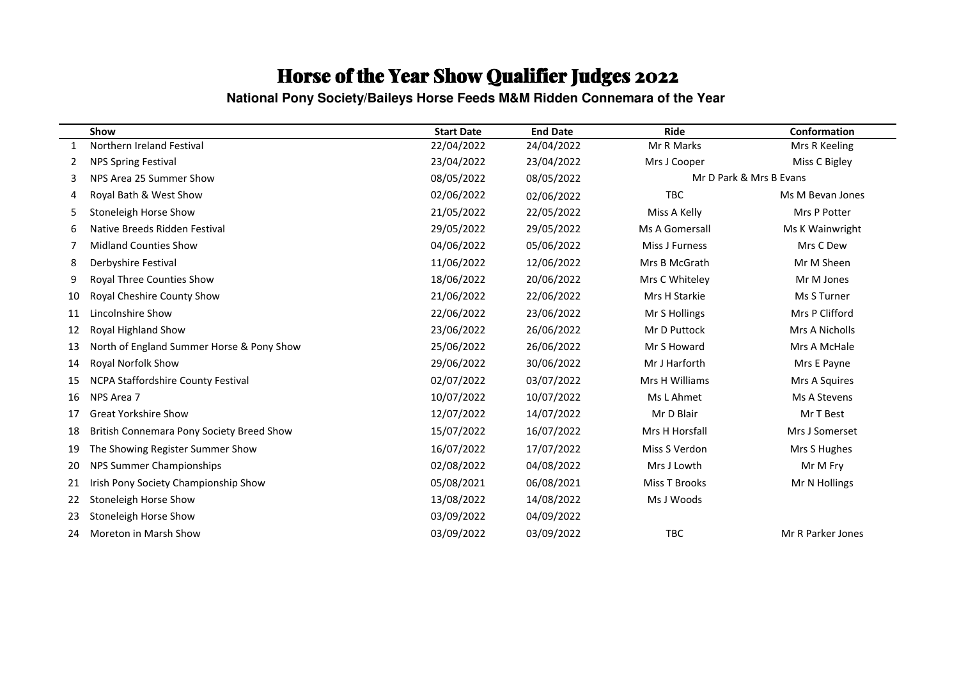**National Pony Society/Baileys Horse Feeds M&M Ridden Connemara of the Year** 

|    | Show                                      | <b>Start Date</b> | <b>End Date</b> | <b>Ride</b>    | Conformation            |
|----|-------------------------------------------|-------------------|-----------------|----------------|-------------------------|
|    | Northern Ireland Festival                 | 22/04/2022        | 24/04/2022      | Mr R Marks     | Mrs R Keeling           |
| 2  | <b>NPS Spring Festival</b>                | 23/04/2022        | 23/04/2022      | Mrs J Cooper   | Miss C Bigley           |
| 3  | NPS Area 25 Summer Show                   | 08/05/2022        | 08/05/2022      |                | Mr D Park & Mrs B Evans |
| 4  | Royal Bath & West Show                    | 02/06/2022        | 02/06/2022      | <b>TBC</b>     | Ms M Bevan Jones        |
| 5  | Stoneleigh Horse Show                     | 21/05/2022        | 22/05/2022      | Miss A Kelly   | Mrs P Potter            |
| 6  | Native Breeds Ridden Festival             | 29/05/2022        | 29/05/2022      | Ms A Gomersall | Ms K Wainwright         |
|    | <b>Midland Counties Show</b>              | 04/06/2022        | 05/06/2022      | Miss J Furness | Mrs C Dew               |
| 8  | Derbyshire Festival                       | 11/06/2022        | 12/06/2022      | Mrs B McGrath  | Mr M Sheen              |
| 9  | Royal Three Counties Show                 | 18/06/2022        | 20/06/2022      | Mrs C Whiteley | Mr M Jones              |
| 10 | Royal Cheshire County Show                | 21/06/2022        | 22/06/2022      | Mrs H Starkie  | Ms S Turner             |
| 11 | Lincolnshire Show                         | 22/06/2022        | 23/06/2022      | Mr S Hollings  | Mrs P Clifford          |
| 12 | Royal Highland Show                       | 23/06/2022        | 26/06/2022      | Mr D Puttock   | Mrs A Nicholls          |
| 13 | North of England Summer Horse & Pony Show | 25/06/2022        | 26/06/2022      | Mr S Howard    | Mrs A McHale            |
| 14 | Royal Norfolk Show                        | 29/06/2022        | 30/06/2022      | Mr J Harforth  | Mrs E Payne             |
| 15 | NCPA Staffordshire County Festival        | 02/07/2022        | 03/07/2022      | Mrs H Williams | Mrs A Squires           |
| 16 | NPS Area 7                                | 10/07/2022        | 10/07/2022      | Ms L Ahmet     | Ms A Stevens            |
| 17 | <b>Great Yorkshire Show</b>               | 12/07/2022        | 14/07/2022      | Mr D Blair     | Mr T Best               |
| 18 | British Connemara Pony Society Breed Show | 15/07/2022        | 16/07/2022      | Mrs H Horsfall | Mrs J Somerset          |
| 19 | The Showing Register Summer Show          | 16/07/2022        | 17/07/2022      | Miss S Verdon  | Mrs S Hughes            |
| 20 | NPS Summer Championships                  | 02/08/2022        | 04/08/2022      | Mrs J Lowth    | Mr M Fry                |
| 21 | Irish Pony Society Championship Show      | 05/08/2021        | 06/08/2021      | Miss T Brooks  | Mr N Hollings           |
| 22 | Stoneleigh Horse Show                     | 13/08/2022        | 14/08/2022      | Ms J Woods     |                         |
| 23 | Stoneleigh Horse Show                     | 03/09/2022        | 04/09/2022      |                |                         |
| 24 | Moreton in Marsh Show                     | 03/09/2022        | 03/09/2022      | TBC            | Mr R Parker Jones       |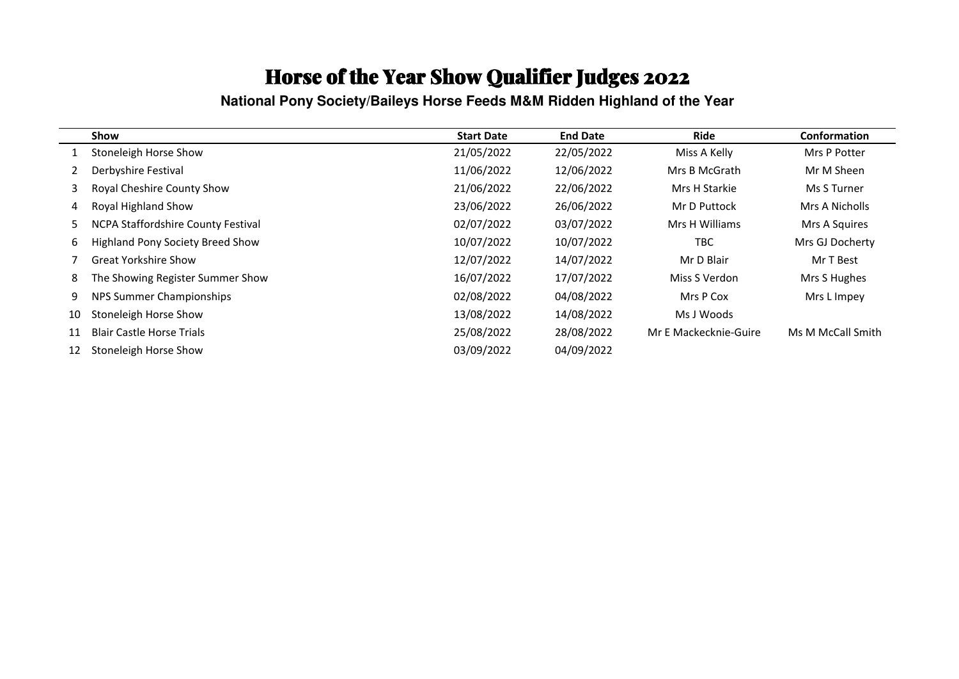**National Pony Society/Baileys Horse Feeds M&M Ridden Highland of the Year**

|    | Show                                      | <b>Start Date</b> | <b>End Date</b> | <b>Ride</b>           | <b>Conformation</b> |
|----|-------------------------------------------|-------------------|-----------------|-----------------------|---------------------|
|    | Stoneleigh Horse Show                     | 21/05/2022        | 22/05/2022      | Miss A Kelly          | Mrs P Potter        |
|    | Derbyshire Festival                       | 11/06/2022        | 12/06/2022      | Mrs B McGrath         | Mr M Sheen          |
| 3  | Royal Cheshire County Show                | 21/06/2022        | 22/06/2022      | Mrs H Starkie         | Ms S Turner         |
| 4  | Royal Highland Show                       | 23/06/2022        | 26/06/2022      | Mr D Puttock          | Mrs A Nicholls      |
| 5  | <b>NCPA Staffordshire County Festival</b> | 02/07/2022        | 03/07/2022      | Mrs H Williams        | Mrs A Squires       |
| 6  | <b>Highland Pony Society Breed Show</b>   | 10/07/2022        | 10/07/2022      | <b>TBC</b>            | Mrs GJ Docherty     |
|    | <b>Great Yorkshire Show</b>               | 12/07/2022        | 14/07/2022      | Mr D Blair            | Mr T Best           |
| 8  | The Showing Register Summer Show          | 16/07/2022        | 17/07/2022      | Miss S Verdon         | Mrs S Hughes        |
| 9  | NPS Summer Championships                  | 02/08/2022        | 04/08/2022      | Mrs P Cox             | Mrs L Impey         |
| 10 | Stoneleigh Horse Show                     | 13/08/2022        | 14/08/2022      | Ms J Woods            |                     |
| 11 | <b>Blair Castle Horse Trials</b>          | 25/08/2022        | 28/08/2022      | Mr E Mackecknie-Guire | Ms M McCall Smith   |
| 12 | Stoneleigh Horse Show                     | 03/09/2022        | 04/09/2022      |                       |                     |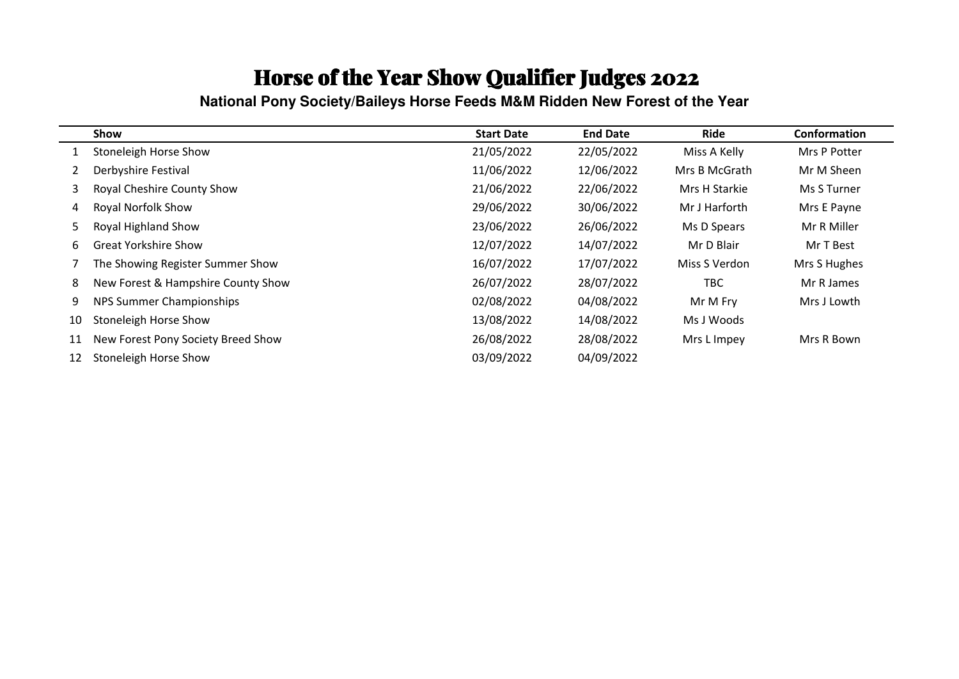**National Pony Society/Baileys Horse Feeds M&M Ridden New Forest of the Year** 

|             | <b>Show</b>                        | <b>Start Date</b> | <b>End Date</b> | Ride          | Conformation |
|-------------|------------------------------------|-------------------|-----------------|---------------|--------------|
|             | Stoneleigh Horse Show              | 21/05/2022        | 22/05/2022      | Miss A Kelly  | Mrs P Potter |
| $2^{\circ}$ | Derbyshire Festival                | 11/06/2022        | 12/06/2022      | Mrs B McGrath | Mr M Sheen   |
| 3.          | Royal Cheshire County Show         | 21/06/2022        | 22/06/2022      | Mrs H Starkie | Ms S Turner  |
| 4           | Royal Norfolk Show                 | 29/06/2022        | 30/06/2022      | Mr J Harforth | Mrs E Payne  |
| 5.          | Royal Highland Show                | 23/06/2022        | 26/06/2022      | Ms D Spears   | Mr R Miller  |
| 6           | <b>Great Yorkshire Show</b>        | 12/07/2022        | 14/07/2022      | Mr D Blair    | Mr T Best    |
|             | The Showing Register Summer Show   | 16/07/2022        | 17/07/2022      | Miss S Verdon | Mrs S Hughes |
| 8           | New Forest & Hampshire County Show | 26/07/2022        | 28/07/2022      | <b>TBC</b>    | Mr R James   |
| 9           | NPS Summer Championships           | 02/08/2022        | 04/08/2022      | Mr M Fry      | Mrs J Lowth  |
| 10          | Stoneleigh Horse Show              | 13/08/2022        | 14/08/2022      | Ms J Woods    |              |
| 11          | New Forest Pony Society Breed Show | 26/08/2022        | 28/08/2022      | Mrs L Impey   | Mrs R Bown   |
| 12          | Stoneleigh Horse Show              | 03/09/2022        | 04/09/2022      |               |              |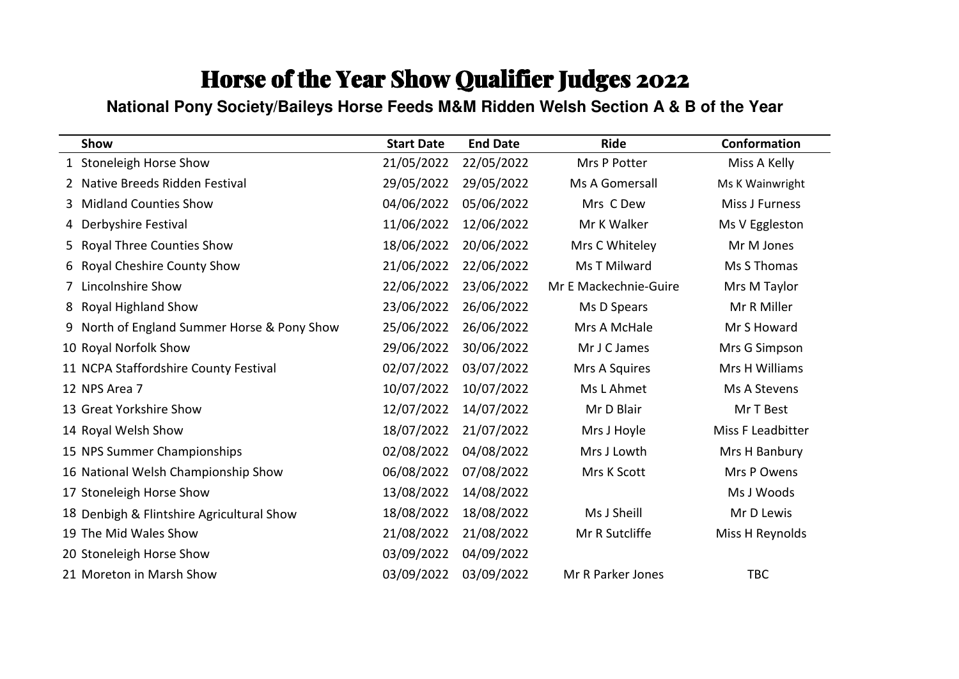#### **National Pony Society/Baileys Horse Feeds M&M Ridden Welsh Section A & B of the Year**

| Show                                           | <b>Start Date</b> | <b>End Date</b> | <b>Ride</b>           | Conformation      |
|------------------------------------------------|-------------------|-----------------|-----------------------|-------------------|
| 1 Stoneleigh Horse Show                        | 21/05/2022        | 22/05/2022      | Mrs P Potter          | Miss A Kelly      |
| Native Breeds Ridden Festival                  | 29/05/2022        | 29/05/2022      | Ms A Gomersall        | Ms K Wainwright   |
| <b>Midland Counties Show</b><br>3              | 04/06/2022        | 05/06/2022      | Mrs C Dew             | Miss J Furness    |
| Derbyshire Festival<br>4                       | 11/06/2022        | 12/06/2022      | Mr K Walker           | Ms V Eggleston    |
| <b>Royal Three Counties Show</b><br>5.         | 18/06/2022        | 20/06/2022      | Mrs C Whiteley        | Mr M Jones        |
| Royal Cheshire County Show<br>6                | 21/06/2022        | 22/06/2022      | Ms T Milward          | Ms S Thomas       |
| Lincolnshire Show                              | 22/06/2022        | 23/06/2022      | Mr E Mackechnie-Guire | Mrs M Taylor      |
| <b>Royal Highland Show</b><br>8                | 23/06/2022        | 26/06/2022      | Ms D Spears           | Mr R Miller       |
| North of England Summer Horse & Pony Show<br>9 | 25/06/2022        | 26/06/2022      | Mrs A McHale          | Mr S Howard       |
| 10 Royal Norfolk Show                          | 29/06/2022        | 30/06/2022      | Mr J C James          | Mrs G Simpson     |
| 11 NCPA Staffordshire County Festival          | 02/07/2022        | 03/07/2022      | Mrs A Squires         | Mrs H Williams    |
| 12 NPS Area 7                                  | 10/07/2022        | 10/07/2022      | Ms L Ahmet            | Ms A Stevens      |
| 13 Great Yorkshire Show                        | 12/07/2022        | 14/07/2022      | Mr D Blair            | Mr T Best         |
| 14 Royal Welsh Show                            | 18/07/2022        | 21/07/2022      | Mrs J Hoyle           | Miss F Leadbitter |
| 15 NPS Summer Championships                    | 02/08/2022        | 04/08/2022      | Mrs J Lowth           | Mrs H Banbury     |
| 16 National Welsh Championship Show            | 06/08/2022        | 07/08/2022      | Mrs K Scott           | Mrs P Owens       |
| 17 Stoneleigh Horse Show                       | 13/08/2022        | 14/08/2022      |                       | Ms J Woods        |
| 18 Denbigh & Flintshire Agricultural Show      | 18/08/2022        | 18/08/2022      | Ms J Sheill           | Mr D Lewis        |
| 19 The Mid Wales Show                          | 21/08/2022        | 21/08/2022      | Mr R Sutcliffe        | Miss H Reynolds   |
| 20 Stoneleigh Horse Show                       | 03/09/2022        | 04/09/2022      |                       |                   |
| 21 Moreton in Marsh Show                       | 03/09/2022        | 03/09/2022      | Mr R Parker Jones     | <b>TBC</b>        |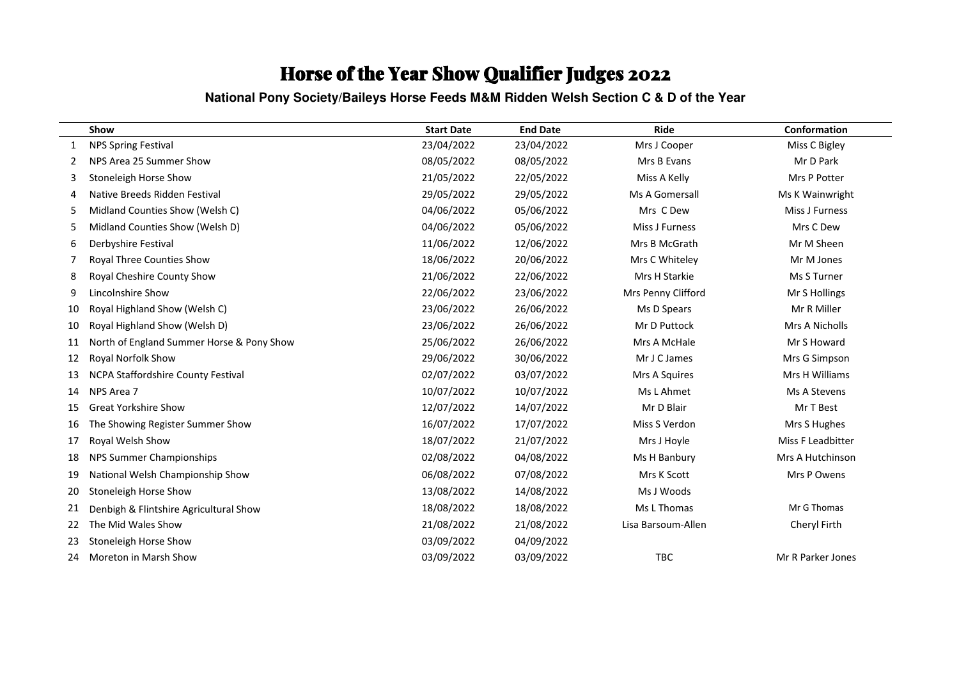#### **National Pony Society/Baileys Horse Feeds M&M Ridden Welsh Section C & D of the Year**

|    | Show                                      | <b>Start Date</b> | <b>End Date</b> | Ride               | Conformation      |
|----|-------------------------------------------|-------------------|-----------------|--------------------|-------------------|
|    | <b>NPS Spring Festival</b>                | 23/04/2022        | 23/04/2022      | Mrs J Cooper       | Miss C Bigley     |
| 2  | NPS Area 25 Summer Show                   | 08/05/2022        | 08/05/2022      | Mrs B Evans        | Mr D Park         |
| 3  | Stoneleigh Horse Show                     | 21/05/2022        | 22/05/2022      | Miss A Kelly       | Mrs P Potter      |
| 4  | Native Breeds Ridden Festival             | 29/05/2022        | 29/05/2022      | Ms A Gomersall     | Ms K Wainwright   |
| 5  | Midland Counties Show (Welsh C)           | 04/06/2022        | 05/06/2022      | Mrs C Dew          | Miss J Furness    |
| 5  | Midland Counties Show (Welsh D)           | 04/06/2022        | 05/06/2022      | Miss J Furness     | Mrs C Dew         |
| 6  | Derbyshire Festival                       | 11/06/2022        | 12/06/2022      | Mrs B McGrath      | Mr M Sheen        |
| 7  | Royal Three Counties Show                 | 18/06/2022        | 20/06/2022      | Mrs C Whiteley     | Mr M Jones        |
| 8  | Royal Cheshire County Show                | 21/06/2022        | 22/06/2022      | Mrs H Starkie      | Ms S Turner       |
| 9  | Lincolnshire Show                         | 22/06/2022        | 23/06/2022      | Mrs Penny Clifford | Mr S Hollings     |
| 10 | Royal Highland Show (Welsh C)             | 23/06/2022        | 26/06/2022      | Ms D Spears        | Mr R Miller       |
| 10 | Royal Highland Show (Welsh D)             | 23/06/2022        | 26/06/2022      | Mr D Puttock       | Mrs A Nicholls    |
| 11 | North of England Summer Horse & Pony Show | 25/06/2022        | 26/06/2022      | Mrs A McHale       | Mr S Howard       |
| 12 | Royal Norfolk Show                        | 29/06/2022        | 30/06/2022      | Mr J C James       | Mrs G Simpson     |
| 13 | NCPA Staffordshire County Festival        | 02/07/2022        | 03/07/2022      | Mrs A Squires      | Mrs H Williams    |
| 14 | NPS Area 7                                | 10/07/2022        | 10/07/2022      | Ms L Ahmet         | Ms A Stevens      |
| 15 | <b>Great Yorkshire Show</b>               | 12/07/2022        | 14/07/2022      | Mr D Blair         | Mr T Best         |
| 16 | The Showing Register Summer Show          | 16/07/2022        | 17/07/2022      | Miss S Verdon      | Mrs S Hughes      |
| 17 | Royal Welsh Show                          | 18/07/2022        | 21/07/2022      | Mrs J Hoyle        | Miss F Leadbitter |
| 18 | NPS Summer Championships                  | 02/08/2022        | 04/08/2022      | Ms H Banbury       | Mrs A Hutchinson  |
| 19 | National Welsh Championship Show          | 06/08/2022        | 07/08/2022      | Mrs K Scott        | Mrs P Owens       |
| 20 | Stoneleigh Horse Show                     | 13/08/2022        | 14/08/2022      | Ms J Woods         |                   |
| 21 | Denbigh & Flintshire Agricultural Show    | 18/08/2022        | 18/08/2022      | Ms L Thomas        | Mr G Thomas       |
| 22 | The Mid Wales Show                        | 21/08/2022        | 21/08/2022      | Lisa Barsoum-Allen | Cheryl Firth      |
| 23 | Stoneleigh Horse Show                     | 03/09/2022        | 04/09/2022      |                    |                   |
| 24 | Moreton in Marsh Show                     | 03/09/2022        | 03/09/2022      | TBC                | Mr R Parker Jones |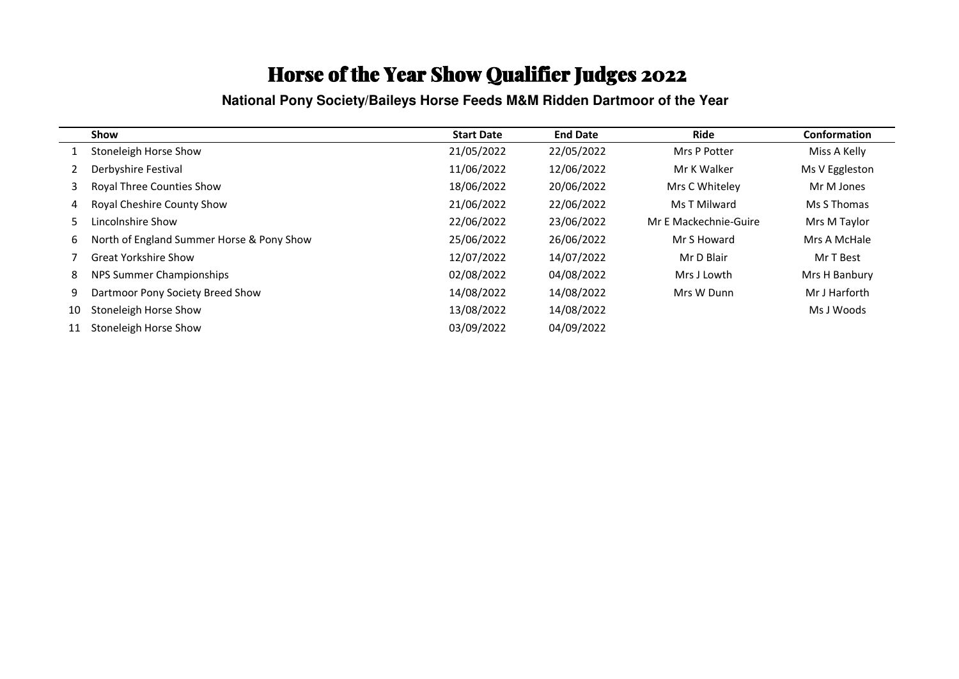**National Pony Society/Baileys Horse Feeds M&M Ridden Dartmoor of the Year** 

|    | Show                                      | <b>Start Date</b> | <b>End Date</b> | <b>Ride</b>           | <b>Conformation</b> |
|----|-------------------------------------------|-------------------|-----------------|-----------------------|---------------------|
|    | Stoneleigh Horse Show                     | 21/05/2022        | 22/05/2022      | Mrs P Potter          | Miss A Kelly        |
|    | Derbyshire Festival                       | 11/06/2022        | 12/06/2022      | Mr K Walker           | Ms V Eggleston      |
| 3  | <b>Royal Three Counties Show</b>          | 18/06/2022        | 20/06/2022      | Mrs C Whiteley        | Mr M Jones          |
| 4  | Royal Cheshire County Show                | 21/06/2022        | 22/06/2022      | Ms T Milward          | Ms S Thomas         |
| 5  | Lincolnshire Show                         | 22/06/2022        | 23/06/2022      | Mr E Mackechnie-Guire | Mrs M Taylor        |
| 6  | North of England Summer Horse & Pony Show | 25/06/2022        | 26/06/2022      | Mr S Howard           | Mrs A McHale        |
|    | <b>Great Yorkshire Show</b>               | 12/07/2022        | 14/07/2022      | Mr D Blair            | Mr T Best           |
| 8  | NPS Summer Championships                  | 02/08/2022        | 04/08/2022      | Mrs J Lowth           | Mrs H Banbury       |
| 9  | Dartmoor Pony Society Breed Show          | 14/08/2022        | 14/08/2022      | Mrs W Dunn            | Mr J Harforth       |
| 10 | Stoneleigh Horse Show                     | 13/08/2022        | 14/08/2022      |                       | Ms J Woods          |
| 11 | Stoneleigh Horse Show                     | 03/09/2022        | 04/09/2022      |                       |                     |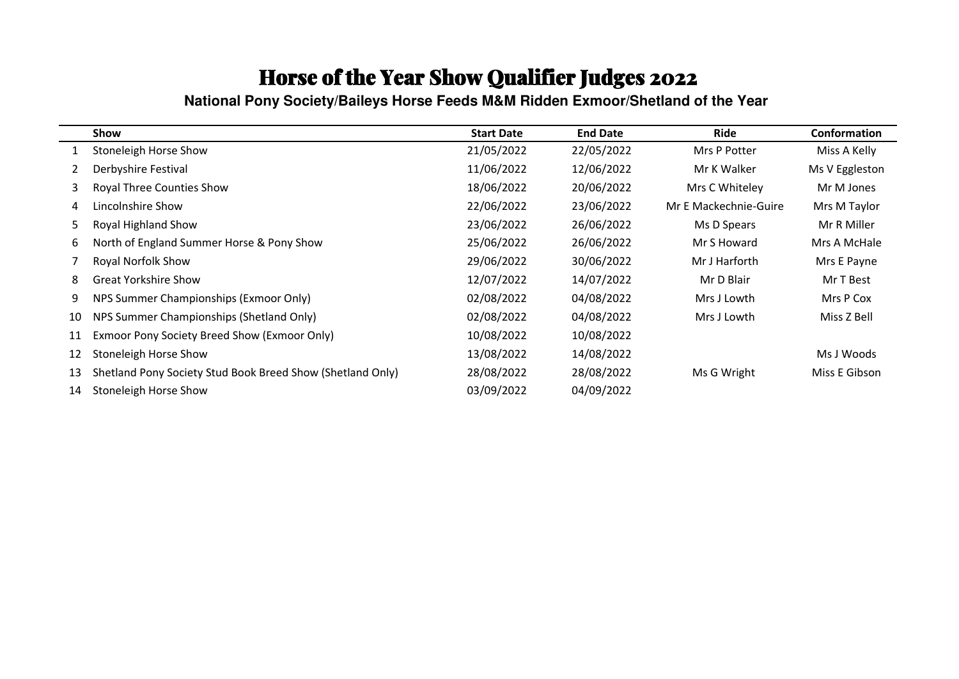**National Pony Society/Baileys Horse Feeds M&M Ridden Exmoor/Shetland of the Year** 

|    | Show                                                       | <b>Start Date</b> | <b>End Date</b> | <b>Ride</b>           | Conformation   |
|----|------------------------------------------------------------|-------------------|-----------------|-----------------------|----------------|
|    | Stoneleigh Horse Show                                      | 21/05/2022        | 22/05/2022      | Mrs P Potter          | Miss A Kelly   |
| 2  | Derbyshire Festival                                        | 11/06/2022        | 12/06/2022      | Mr K Walker           | Ms V Eggleston |
| 3  | <b>Royal Three Counties Show</b>                           | 18/06/2022        | 20/06/2022      | Mrs C Whiteley        | Mr M Jones     |
| 4  | Lincolnshire Show                                          | 22/06/2022        | 23/06/2022      | Mr E Mackechnie-Guire | Mrs M Taylor   |
| 5. | Royal Highland Show                                        | 23/06/2022        | 26/06/2022      | Ms D Spears           | Mr R Miller    |
| 6  | North of England Summer Horse & Pony Show                  | 25/06/2022        | 26/06/2022      | Mr S Howard           | Mrs A McHale   |
|    | Royal Norfolk Show                                         | 29/06/2022        | 30/06/2022      | Mr J Harforth         | Mrs E Payne    |
| 8  | <b>Great Yorkshire Show</b>                                | 12/07/2022        | 14/07/2022      | Mr D Blair            | Mr T Best      |
| 9  | NPS Summer Championships (Exmoor Only)                     | 02/08/2022        | 04/08/2022      | Mrs J Lowth           | Mrs P Cox      |
| 10 | NPS Summer Championships (Shetland Only)                   | 02/08/2022        | 04/08/2022      | Mrs J Lowth           | Miss Z Bell    |
| 11 | Exmoor Pony Society Breed Show (Exmoor Only)               | 10/08/2022        | 10/08/2022      |                       |                |
| 12 | Stoneleigh Horse Show                                      | 13/08/2022        | 14/08/2022      |                       | Ms J Woods     |
| 13 | Shetland Pony Society Stud Book Breed Show (Shetland Only) | 28/08/2022        | 28/08/2022      | Ms G Wright           | Miss E Gibson  |
| 14 | Stoneleigh Horse Show                                      | 03/09/2022        | 04/09/2022      |                       |                |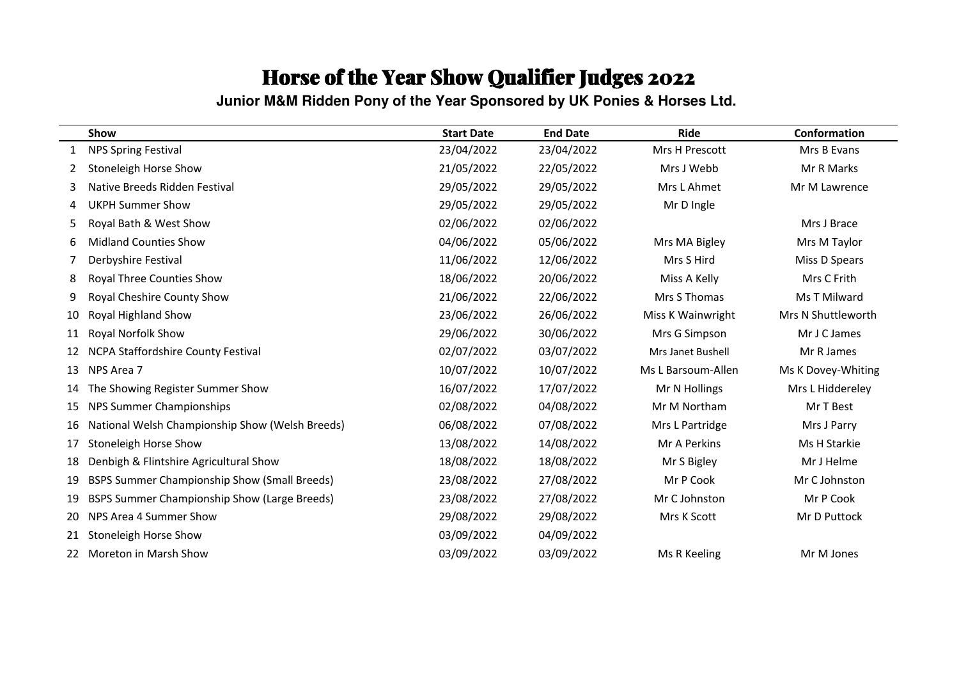**Junior M&M Ridden Pony of the Year Sponsored by UK Ponies & Horses Ltd.** 

|    | Show                                                | <b>Start Date</b> | <b>End Date</b> | <b>Ride</b>        | Conformation       |
|----|-----------------------------------------------------|-------------------|-----------------|--------------------|--------------------|
|    | <b>NPS Spring Festival</b>                          | 23/04/2022        | 23/04/2022      | Mrs H Prescott     | Mrs B Evans        |
| 2  | Stoneleigh Horse Show                               | 21/05/2022        | 22/05/2022      | Mrs J Webb         | Mr R Marks         |
| 3  | Native Breeds Ridden Festival                       | 29/05/2022        | 29/05/2022      | Mrs L Ahmet        | Mr M Lawrence      |
| 4  | <b>UKPH Summer Show</b>                             | 29/05/2022        | 29/05/2022      | Mr D Ingle         |                    |
| 5  | Royal Bath & West Show                              | 02/06/2022        | 02/06/2022      |                    | Mrs J Brace        |
| 6  | <b>Midland Counties Show</b>                        | 04/06/2022        | 05/06/2022      | Mrs MA Bigley      | Mrs M Taylor       |
|    | Derbyshire Festival                                 | 11/06/2022        | 12/06/2022      | Mrs S Hird         | Miss D Spears      |
| 8  | Royal Three Counties Show                           | 18/06/2022        | 20/06/2022      | Miss A Kelly       | Mrs C Frith        |
| 9  | Royal Cheshire County Show                          | 21/06/2022        | 22/06/2022      | Mrs S Thomas       | Ms T Milward       |
| 10 | Royal Highland Show                                 | 23/06/2022        | 26/06/2022      | Miss K Wainwright  | Mrs N Shuttleworth |
| 11 | <b>Royal Norfolk Show</b>                           | 29/06/2022        | 30/06/2022      | Mrs G Simpson      | Mr J C James       |
| 12 | NCPA Staffordshire County Festival                  | 02/07/2022        | 03/07/2022      | Mrs Janet Bushell  | Mr R James         |
| 13 | NPS Area 7                                          | 10/07/2022        | 10/07/2022      | Ms L Barsoum-Allen | Ms K Dovey-Whiting |
| 14 | The Showing Register Summer Show                    | 16/07/2022        | 17/07/2022      | Mr N Hollings      | Mrs L Hiddereley   |
| 15 | NPS Summer Championships                            | 02/08/2022        | 04/08/2022      | Mr M Northam       | Mr T Best          |
| 16 | National Welsh Championship Show (Welsh Breeds)     | 06/08/2022        | 07/08/2022      | Mrs L Partridge    | Mrs J Parry        |
| 17 | Stoneleigh Horse Show                               | 13/08/2022        | 14/08/2022      | Mr A Perkins       | Ms H Starkie       |
| 18 | Denbigh & Flintshire Agricultural Show              | 18/08/2022        | 18/08/2022      | Mr S Bigley        | Mr J Helme         |
| 19 | <b>BSPS Summer Championship Show (Small Breeds)</b> | 23/08/2022        | 27/08/2022      | Mr P Cook          | Mr C Johnston      |
| 19 | <b>BSPS Summer Championship Show (Large Breeds)</b> | 23/08/2022        | 27/08/2022      | Mr C Johnston      | Mr P Cook          |
| 20 | NPS Area 4 Summer Show                              | 29/08/2022        | 29/08/2022      | Mrs K Scott        | Mr D Puttock       |
|    | Stoneleigh Horse Show                               | 03/09/2022        | 04/09/2022      |                    |                    |
| 22 | Moreton in Marsh Show                               | 03/09/2022        | 03/09/2022      | Ms R Keeling       | Mr M Jones         |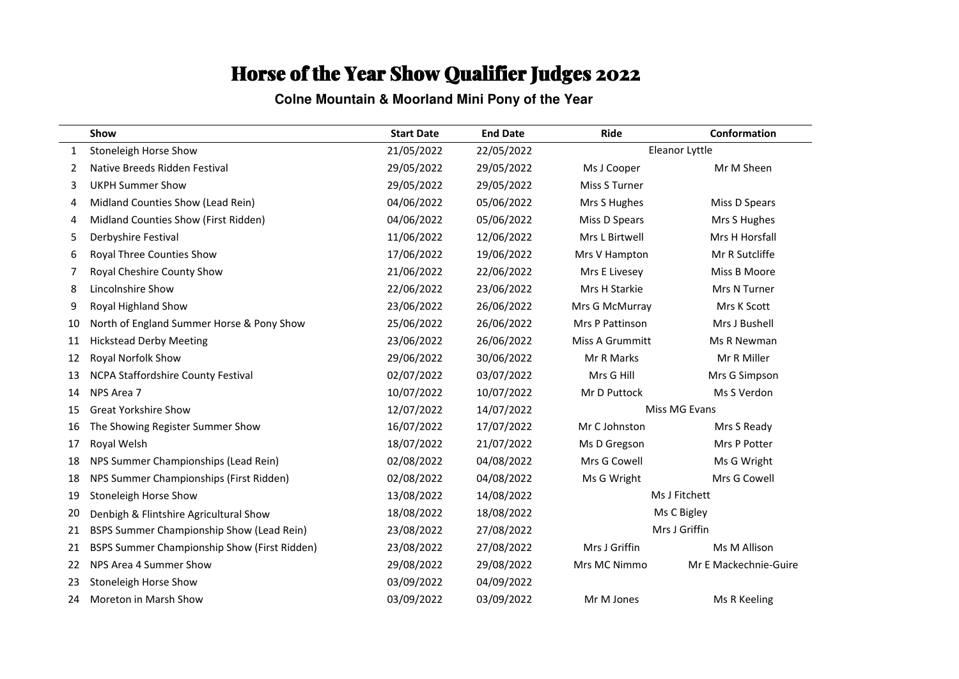#### **Colne Mountain & Moorland Mini Pony of the Year**

|    | Show                                         | <b>Start Date</b> | <b>End Date</b> | Ride            | Conformation          |
|----|----------------------------------------------|-------------------|-----------------|-----------------|-----------------------|
| 1  | Stoneleigh Horse Show                        | 21/05/2022        | 22/05/2022      |                 | Eleanor Lyttle        |
| 2  | Native Breeds Ridden Festival                | 29/05/2022        | 29/05/2022      | Ms J Cooper     | Mr M Sheen            |
| 3  | <b>UKPH Summer Show</b>                      | 29/05/2022        | 29/05/2022      | Miss S Turner   |                       |
| 4  | Midland Counties Show (Lead Rein)            | 04/06/2022        | 05/06/2022      | Mrs S Hughes    | Miss D Spears         |
| 4  | Midland Counties Show (First Ridden)         | 04/06/2022        | 05/06/2022      | Miss D Spears   | Mrs S Hughes          |
| 5  | Derbyshire Festival                          | 11/06/2022        | 12/06/2022      | Mrs L Birtwell  | Mrs H Horsfall        |
| 6  | Royal Three Counties Show                    | 17/06/2022        | 19/06/2022      | Mrs V Hampton   | Mr R Sutcliffe        |
| 7  | Royal Cheshire County Show                   | 21/06/2022        | 22/06/2022      | Mrs E Livesey   | Miss B Moore          |
| 8  | Lincolnshire Show                            | 22/06/2022        | 23/06/2022      | Mrs H Starkie   | Mrs N Turner          |
| 9  | Royal Highland Show                          | 23/06/2022        | 26/06/2022      | Mrs G McMurray  | Mrs K Scott           |
| 10 | North of England Summer Horse & Pony Show    | 25/06/2022        | 26/06/2022      | Mrs P Pattinson | Mrs J Bushell         |
| 11 | <b>Hickstead Derby Meeting</b>               | 23/06/2022        | 26/06/2022      | Miss A Grummitt | Ms R Newman           |
| 12 | Royal Norfolk Show                           | 29/06/2022        | 30/06/2022      | Mr R Marks      | Mr R Miller           |
| 13 | NCPA Staffordshire County Festival           | 02/07/2022        | 03/07/2022      | Mrs G Hill      | Mrs G Simpson         |
| 14 | NPS Area 7                                   | 10/07/2022        | 10/07/2022      | Mr D Puttock    | Ms S Verdon           |
| 15 | <b>Great Yorkshire Show</b>                  | 12/07/2022        | 14/07/2022      |                 | Miss MG Evans         |
| 16 | The Showing Register Summer Show             | 16/07/2022        | 17/07/2022      | Mr C Johnston   | Mrs S Ready           |
| 17 | Royal Welsh                                  | 18/07/2022        | 21/07/2022      | Ms D Gregson    | Mrs P Potter          |
| 18 | NPS Summer Championships (Lead Rein)         | 02/08/2022        | 04/08/2022      | Mrs G Cowell    | Ms G Wright           |
| 18 | NPS Summer Championships (First Ridden)      | 02/08/2022        | 04/08/2022      | Ms G Wright     | Mrs G Cowell          |
| 19 | Stoneleigh Horse Show                        | 13/08/2022        | 14/08/2022      |                 | Ms J Fitchett         |
| 20 | Denbigh & Flintshire Agricultural Show       | 18/08/2022        | 18/08/2022      |                 | Ms C Bigley           |
| 21 | BSPS Summer Championship Show (Lead Rein)    | 23/08/2022        | 27/08/2022      | Mrs J Griffin   |                       |
| 21 | BSPS Summer Championship Show (First Ridden) | 23/08/2022        | 27/08/2022      | Mrs J Griffin   | Ms M Allison          |
| 22 | NPS Area 4 Summer Show                       | 29/08/2022        | 29/08/2022      | Mrs MC Nimmo    | Mr E Mackechnie-Guire |
| 23 | Stoneleigh Horse Show                        | 03/09/2022        | 04/09/2022      |                 |                       |
| 24 | Moreton in Marsh Show                        | 03/09/2022        | 03/09/2022      | Mr M Jones      | Ms R Keeling          |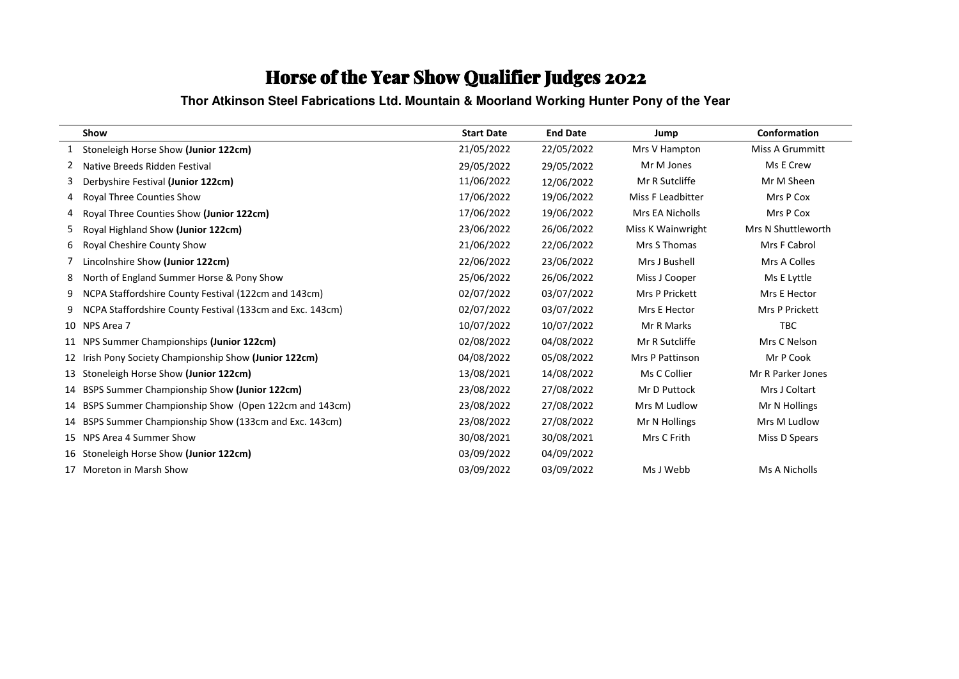**Thor Atkinson Steel Fabrications Ltd. Mountain & Moorland Working Hunter Pony of the Year**

|    | Show                                                      | <b>Start Date</b> | <b>End Date</b> | Jump              | Conformation           |
|----|-----------------------------------------------------------|-------------------|-----------------|-------------------|------------------------|
|    | Stoneleigh Horse Show (Junior 122cm)                      | 21/05/2022        | 22/05/2022      | Mrs V Hampton     | <b>Miss A Grummitt</b> |
| 2  | Native Breeds Ridden Festival                             | 29/05/2022        | 29/05/2022      | Mr M Jones        | Ms E Crew              |
| 3  | Derbyshire Festival (Junior 122cm)                        | 11/06/2022        | 12/06/2022      | Mr R Sutcliffe    | Mr M Sheen             |
| 4  | Royal Three Counties Show                                 | 17/06/2022        | 19/06/2022      | Miss F Leadbitter | Mrs P Cox              |
|    | Royal Three Counties Show (Junior 122cm)                  | 17/06/2022        | 19/06/2022      | Mrs EA Nicholls   | Mrs P Cox              |
| 5. | Royal Highland Show (Junior 122cm)                        | 23/06/2022        | 26/06/2022      | Miss K Wainwright | Mrs N Shuttleworth     |
| 6  | Royal Cheshire County Show                                | 21/06/2022        | 22/06/2022      | Mrs S Thomas      | Mrs F Cabrol           |
|    | Lincolnshire Show (Junior 122cm)                          | 22/06/2022        | 23/06/2022      | Mrs J Bushell     | Mrs A Colles           |
| 8  | North of England Summer Horse & Pony Show                 | 25/06/2022        | 26/06/2022      | Miss J Cooper     | Ms E Lyttle            |
| 9  | NCPA Staffordshire County Festival (122cm and 143cm)      | 02/07/2022        | 03/07/2022      | Mrs P Prickett    | Mrs E Hector           |
| 9  | NCPA Staffordshire County Festival (133cm and Exc. 143cm) | 02/07/2022        | 03/07/2022      | Mrs E Hector      | <b>Mrs P Prickett</b>  |
|    | 10 NPS Area 7                                             | 10/07/2022        | 10/07/2022      | Mr R Marks        | <b>TBC</b>             |
|    | 11 NPS Summer Championships (Junior 122cm)                | 02/08/2022        | 04/08/2022      | Mr R Sutcliffe    | Mrs C Nelson           |
| 12 | Irish Pony Society Championship Show (Junior 122cm)       | 04/08/2022        | 05/08/2022      | Mrs P Pattinson   | Mr P Cook              |
| 13 | Stoneleigh Horse Show (Junior 122cm)                      | 13/08/2021        | 14/08/2022      | Ms C Collier      | Mr R Parker Jones      |
| 14 | BSPS Summer Championship Show (Junior 122cm)              | 23/08/2022        | 27/08/2022      | Mr D Puttock      | Mrs J Coltart          |
| 14 | BSPS Summer Championship Show (Open 122cm and 143cm)      | 23/08/2022        | 27/08/2022      | Mrs M Ludlow      | Mr N Hollings          |
| 14 | BSPS Summer Championship Show (133cm and Exc. 143cm)      | 23/08/2022        | 27/08/2022      | Mr N Hollings     | Mrs M Ludlow           |
| 15 | NPS Area 4 Summer Show                                    | 30/08/2021        | 30/08/2021      | Mrs C Frith       | Miss D Spears          |
| 16 | Stoneleigh Horse Show (Junior 122cm)                      | 03/09/2022        | 04/09/2022      |                   |                        |
| 17 | Moreton in Marsh Show                                     | 03/09/2022        | 03/09/2022      | Ms J Webb         | Ms A Nicholls          |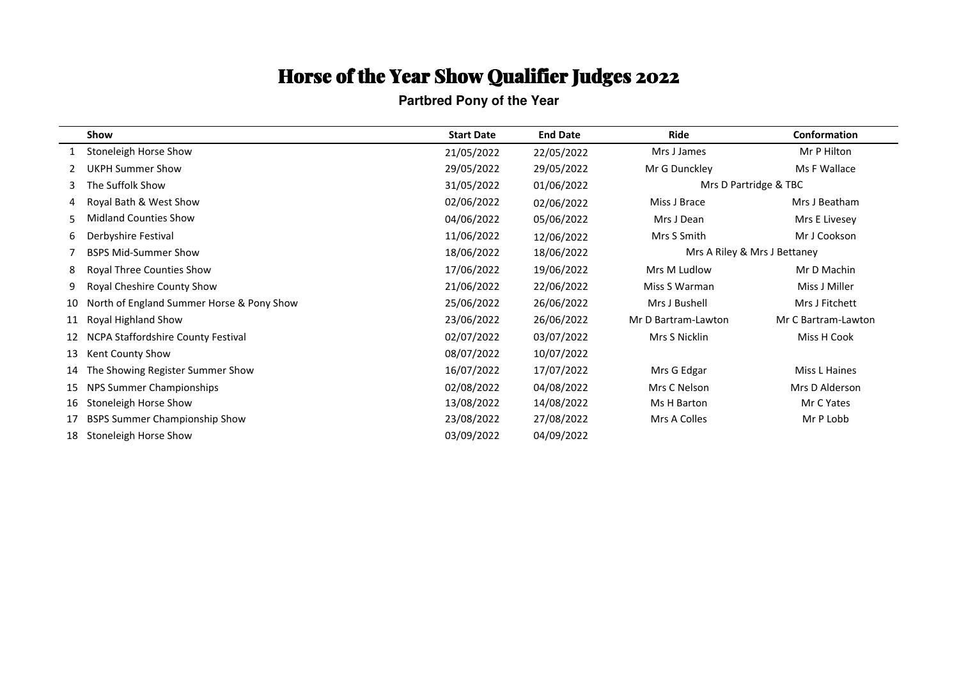**Partbred Pony of the Year**

|    | Show                                      | <b>Start Date</b> | <b>End Date</b> | Ride                         | Conformation          |
|----|-------------------------------------------|-------------------|-----------------|------------------------------|-----------------------|
|    | Stoneleigh Horse Show                     | 21/05/2022        | 22/05/2022      | Mrs J James                  | Mr P Hilton           |
|    | <b>UKPH Summer Show</b>                   | 29/05/2022        | 29/05/2022      | Mr G Dunckley                | Ms F Wallace          |
| 3  | The Suffolk Show                          | 31/05/2022        | 01/06/2022      |                              | Mrs D Partridge & TBC |
| 4  | Royal Bath & West Show                    | 02/06/2022        | 02/06/2022      | Miss J Brace                 | Mrs J Beatham         |
| 5  | <b>Midland Counties Show</b>              | 04/06/2022        | 05/06/2022      | Mrs J Dean                   | Mrs E Livesey         |
| 6  | Derbyshire Festival                       | 11/06/2022        | 12/06/2022      | Mrs S Smith                  | Mr J Cookson          |
|    | <b>BSPS Mid-Summer Show</b>               | 18/06/2022        | 18/06/2022      | Mrs A Riley & Mrs J Bettaney |                       |
| 8  | Royal Three Counties Show                 | 17/06/2022        | 19/06/2022      | Mrs M Ludlow                 | Mr D Machin           |
| 9  | Royal Cheshire County Show                | 21/06/2022        | 22/06/2022      | Miss S Warman                | Miss J Miller         |
| 10 | North of England Summer Horse & Pony Show | 25/06/2022        | 26/06/2022      | Mrs J Bushell                | Mrs J Fitchett        |
| 11 | Royal Highland Show                       | 23/06/2022        | 26/06/2022      | Mr D Bartram-Lawton          | Mr C Bartram-Lawton   |
| 12 | NCPA Staffordshire County Festival        | 02/07/2022        | 03/07/2022      | Mrs S Nicklin                | Miss H Cook           |
| 13 | Kent County Show                          | 08/07/2022        | 10/07/2022      |                              |                       |
| 14 | The Showing Register Summer Show          | 16/07/2022        | 17/07/2022      | Mrs G Edgar                  | Miss L Haines         |
| 15 | NPS Summer Championships                  | 02/08/2022        | 04/08/2022      | Mrs C Nelson                 | Mrs D Alderson        |
| 16 | Stoneleigh Horse Show                     | 13/08/2022        | 14/08/2022      | Ms H Barton                  | Mr C Yates            |
| 17 | <b>BSPS Summer Championship Show</b>      | 23/08/2022        | 27/08/2022      | Mrs A Colles                 | Mr P Lobb             |
| 18 | Stoneleigh Horse Show                     | 03/09/2022        | 04/09/2022      |                              |                       |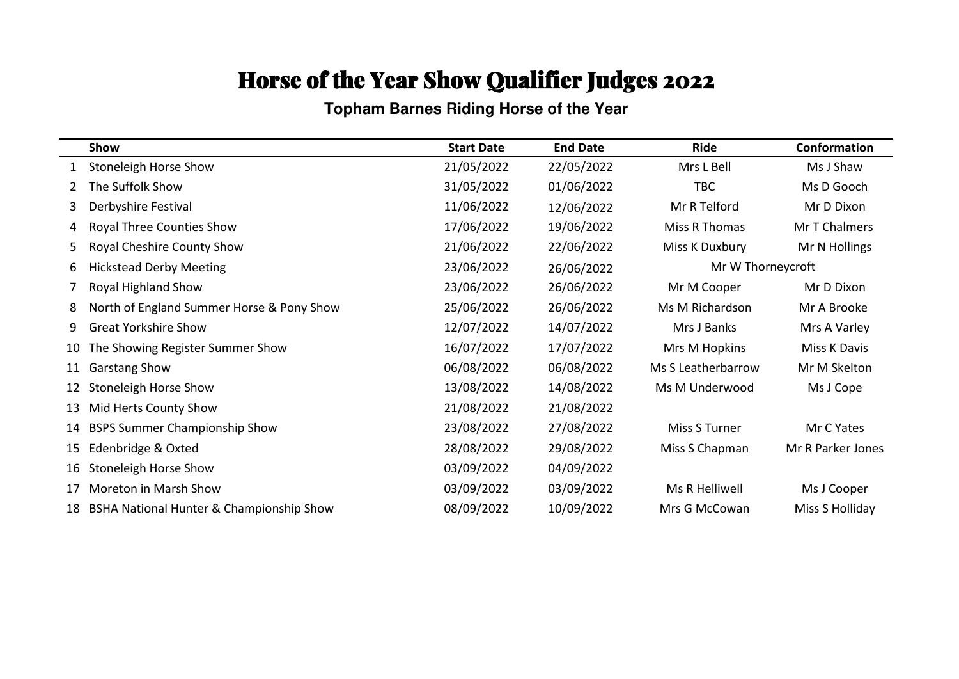**Topham Barnes Riding Horse of the Year**

|    | Show                                      | <b>Start Date</b> | <b>End Date</b> | <b>Ride</b>        | Conformation      |
|----|-------------------------------------------|-------------------|-----------------|--------------------|-------------------|
| 1  | Stoneleigh Horse Show                     | 21/05/2022        | 22/05/2022      | Mrs L Bell         | Ms J Shaw         |
| 2  | The Suffolk Show                          | 31/05/2022        | 01/06/2022      | TBC                | Ms D Gooch        |
| 3  | Derbyshire Festival                       | 11/06/2022        | 12/06/2022      | Mr R Telford       | Mr D Dixon        |
| 4  | <b>Royal Three Counties Show</b>          | 17/06/2022        | 19/06/2022      | Miss R Thomas      | Mr T Chalmers     |
| 5  | Royal Cheshire County Show                | 21/06/2022        | 22/06/2022      | Miss K Duxbury     | Mr N Hollings     |
| 6  | <b>Hickstead Derby Meeting</b>            | 23/06/2022        | 26/06/2022      | Mr W Thorneycroft  |                   |
|    | Royal Highland Show                       | 23/06/2022        | 26/06/2022      | Mr M Cooper        | Mr D Dixon        |
| 8  | North of England Summer Horse & Pony Show | 25/06/2022        | 26/06/2022      | Ms M Richardson    | Mr A Brooke       |
| 9  | <b>Great Yorkshire Show</b>               | 12/07/2022        | 14/07/2022      | Mrs J Banks        | Mrs A Varley      |
| 10 | The Showing Register Summer Show          | 16/07/2022        | 17/07/2022      | Mrs M Hopkins      | Miss K Davis      |
| 11 | <b>Garstang Show</b>                      | 06/08/2022        | 06/08/2022      | Ms S Leatherbarrow | Mr M Skelton      |
| 12 | Stoneleigh Horse Show                     | 13/08/2022        | 14/08/2022      | Ms M Underwood     | Ms J Cope         |
| 13 | Mid Herts County Show                     | 21/08/2022        | 21/08/2022      |                    |                   |
| 14 | <b>BSPS Summer Championship Show</b>      | 23/08/2022        | 27/08/2022      | Miss S Turner      | Mr C Yates        |
| 15 | Edenbridge & Oxted                        | 28/08/2022        | 29/08/2022      | Miss S Chapman     | Mr R Parker Jones |
| 16 | Stoneleigh Horse Show                     | 03/09/2022        | 04/09/2022      |                    |                   |
| 17 | Moreton in Marsh Show                     | 03/09/2022        | 03/09/2022      | Ms R Helliwell     | Ms J Cooper       |
| 18 | BSHA National Hunter & Championship Show  | 08/09/2022        | 10/09/2022      | Mrs G McCowan      | Miss S Holliday   |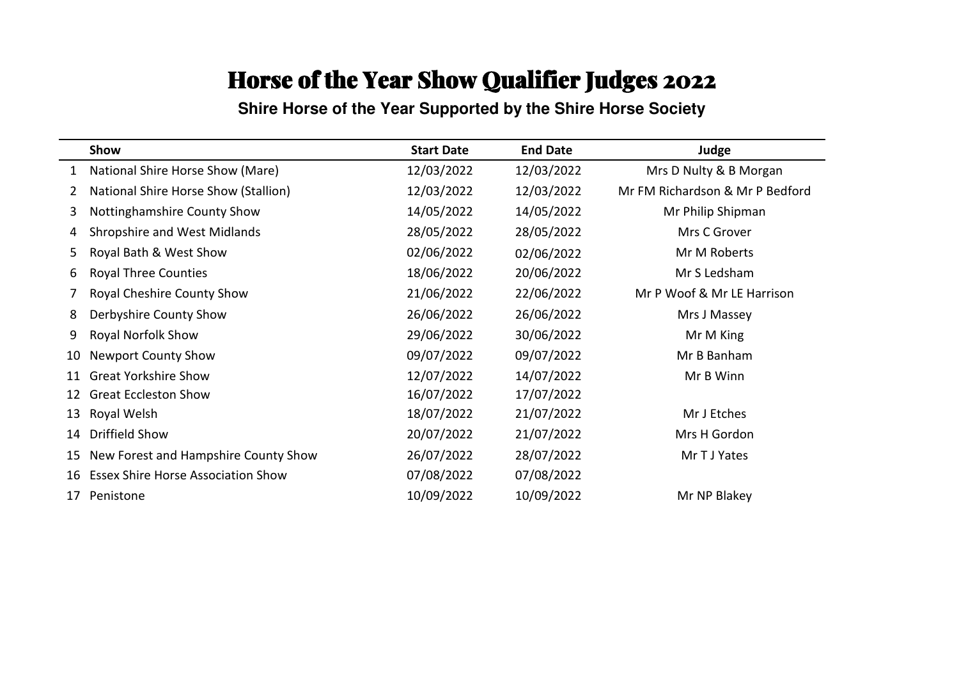#### **Shire Horse of the Year Supported by the Shire Horse Society**

|    | Show                                      | <b>Start Date</b> | <b>End Date</b> | Judge                           |
|----|-------------------------------------------|-------------------|-----------------|---------------------------------|
|    | National Shire Horse Show (Mare)          | 12/03/2022        | 12/03/2022      | Mrs D Nulty & B Morgan          |
| 2  | National Shire Horse Show (Stallion)      | 12/03/2022        | 12/03/2022      | Mr FM Richardson & Mr P Bedford |
| 3  | Nottinghamshire County Show               | 14/05/2022        | 14/05/2022      | Mr Philip Shipman               |
| 4  | Shropshire and West Midlands              | 28/05/2022        | 28/05/2022      | Mrs C Grover                    |
| 5  | Royal Bath & West Show                    | 02/06/2022        | 02/06/2022      | Mr M Roberts                    |
| 6  | <b>Royal Three Counties</b>               | 18/06/2022        | 20/06/2022      | Mr S Ledsham                    |
|    | Royal Cheshire County Show                | 21/06/2022        | 22/06/2022      | Mr P Woof & Mr LE Harrison      |
| 8  | Derbyshire County Show                    | 26/06/2022        | 26/06/2022      | Mrs J Massey                    |
| 9  | Royal Norfolk Show                        | 29/06/2022        | 30/06/2022      | Mr M King                       |
| 10 | <b>Newport County Show</b>                | 09/07/2022        | 09/07/2022      | Mr B Banham                     |
| 11 | <b>Great Yorkshire Show</b>               | 12/07/2022        | 14/07/2022      | Mr B Winn                       |
| 12 | <b>Great Eccleston Show</b>               | 16/07/2022        | 17/07/2022      |                                 |
| 13 | Royal Welsh                               | 18/07/2022        | 21/07/2022      | Mr J Etches                     |
| 14 | <b>Driffield Show</b>                     | 20/07/2022        | 21/07/2022      | Mrs H Gordon                    |
| 15 | New Forest and Hampshire County Show      | 26/07/2022        | 28/07/2022      | Mr T J Yates                    |
| 16 | <b>Essex Shire Horse Association Show</b> | 07/08/2022        | 07/08/2022      |                                 |
| 17 | Penistone                                 | 10/09/2022        | 10/09/2022      | Mr NP Blakey                    |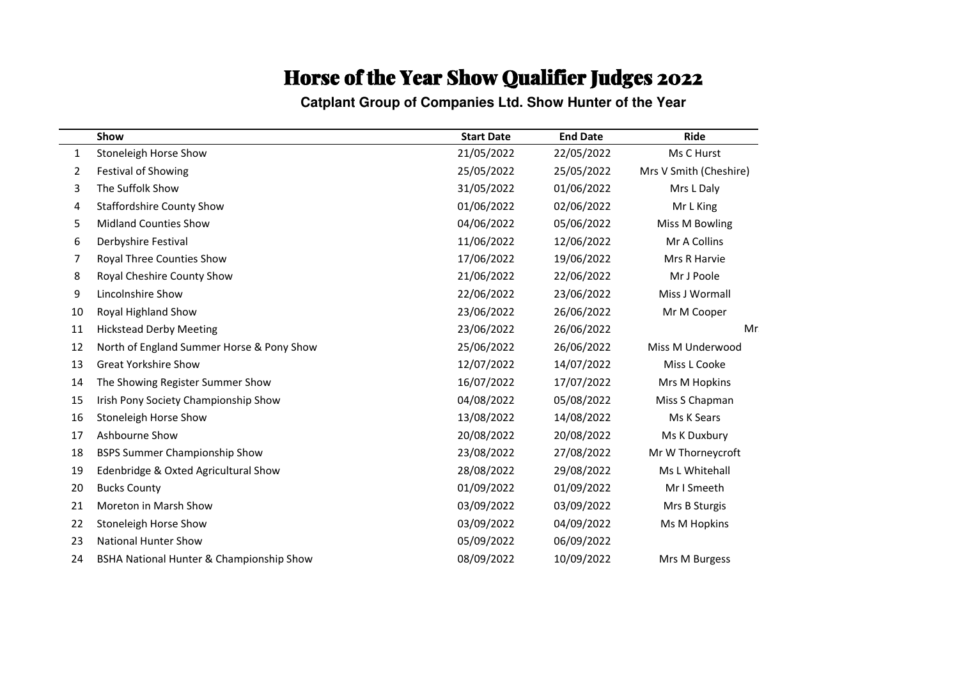**Catplant Group of Companies Ltd. Show Hunter of the Year**

|              | Show                                      | <b>Start Date</b> | <b>End Date</b> | <b>Ride</b>            |
|--------------|-------------------------------------------|-------------------|-----------------|------------------------|
| $\mathbf{1}$ | Stoneleigh Horse Show                     | 21/05/2022        | 22/05/2022      | Ms C Hurst             |
| 2            | <b>Festival of Showing</b>                | 25/05/2022        | 25/05/2022      | Mrs V Smith (Cheshire) |
| 3            | The Suffolk Show                          | 31/05/2022        | 01/06/2022      | Mrs L Daly             |
| 4            | <b>Staffordshire County Show</b>          | 01/06/2022        | 02/06/2022      | Mr L King              |
| 5            | <b>Midland Counties Show</b>              | 04/06/2022        | 05/06/2022      | Miss M Bowling         |
| 6            | Derbyshire Festival                       | 11/06/2022        | 12/06/2022      | Mr A Collins           |
| 7            | Royal Three Counties Show                 | 17/06/2022        | 19/06/2022      | Mrs R Harvie           |
| 8            | Royal Cheshire County Show                | 21/06/2022        | 22/06/2022      | Mr J Poole             |
| 9            | Lincolnshire Show                         | 22/06/2022        | 23/06/2022      | Miss J Wormall         |
| 10           | Royal Highland Show                       | 23/06/2022        | 26/06/2022      | Mr M Cooper            |
| 11           | <b>Hickstead Derby Meeting</b>            | 23/06/2022        | 26/06/2022      | Mr:                    |
| 12           | North of England Summer Horse & Pony Show | 25/06/2022        | 26/06/2022      | Miss M Underwood       |
| 13           | <b>Great Yorkshire Show</b>               | 12/07/2022        | 14/07/2022      | Miss L Cooke           |
| 14           | The Showing Register Summer Show          | 16/07/2022        | 17/07/2022      | Mrs M Hopkins          |
| 15           | Irish Pony Society Championship Show      | 04/08/2022        | 05/08/2022      | Miss S Chapman         |
| 16           | Stoneleigh Horse Show                     | 13/08/2022        | 14/08/2022      | Ms K Sears             |
| 17           | Ashbourne Show                            | 20/08/2022        | 20/08/2022      | Ms K Duxbury           |
| 18           | <b>BSPS Summer Championship Show</b>      | 23/08/2022        | 27/08/2022      | Mr W Thorneycroft      |
| 19           | Edenbridge & Oxted Agricultural Show      | 28/08/2022        | 29/08/2022      | Ms L Whitehall         |
| 20           | <b>Bucks County</b>                       | 01/09/2022        | 01/09/2022      | Mr I Smeeth            |
| 21           | Moreton in Marsh Show                     | 03/09/2022        | 03/09/2022      | Mrs B Sturgis          |
| 22           | Stoneleigh Horse Show                     | 03/09/2022        | 04/09/2022      | Ms M Hopkins           |
| 23           | <b>National Hunter Show</b>               | 05/09/2022        | 06/09/2022      |                        |
| 24           | BSHA National Hunter & Championship Show  | 08/09/2022        | 10/09/2022      | Mrs M Burgess          |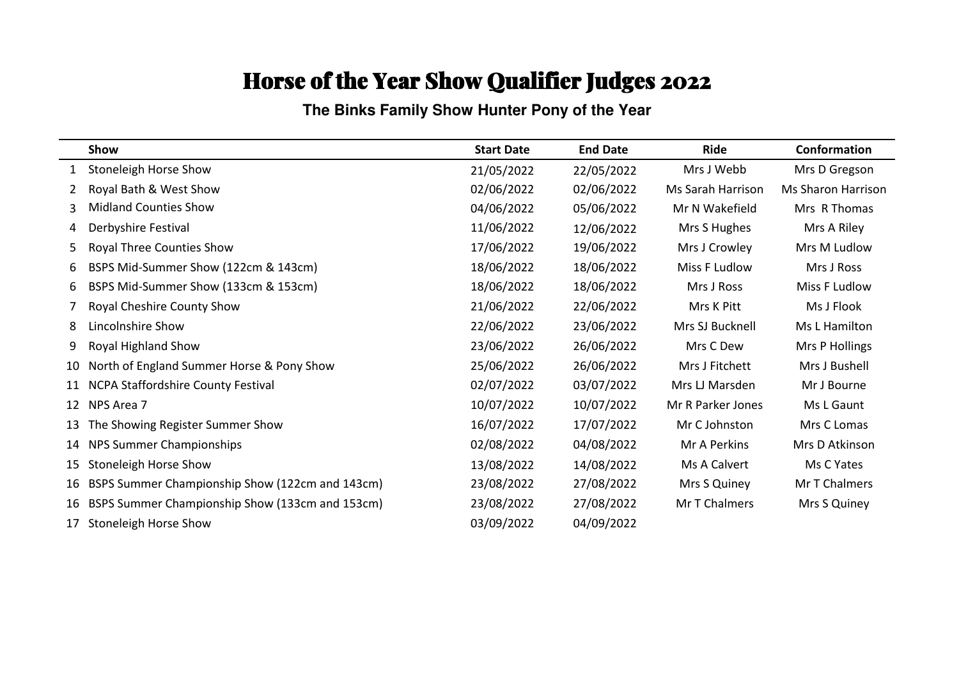**The Binks Family Show Hunter Pony of the Year**

|    | Show                                            | <b>Start Date</b> | <b>End Date</b> | <b>Ride</b>              | Conformation              |
|----|-------------------------------------------------|-------------------|-----------------|--------------------------|---------------------------|
| 1  | <b>Stoneleigh Horse Show</b>                    | 21/05/2022        | 22/05/2022      | Mrs J Webb               | Mrs D Gregson             |
| 2  | Royal Bath & West Show                          | 02/06/2022        | 02/06/2022      | <b>Ms Sarah Harrison</b> | <b>Ms Sharon Harrison</b> |
| 3  | <b>Midland Counties Show</b>                    | 04/06/2022        | 05/06/2022      | Mr N Wakefield           | Mrs R Thomas              |
| 4  | Derbyshire Festival                             | 11/06/2022        | 12/06/2022      | Mrs S Hughes             | Mrs A Riley               |
| 5  | Royal Three Counties Show                       | 17/06/2022        | 19/06/2022      | Mrs J Crowley            | Mrs M Ludlow              |
| 6  | BSPS Mid-Summer Show (122cm & 143cm)            | 18/06/2022        | 18/06/2022      | Miss F Ludlow            | Mrs J Ross                |
| 6  | BSPS Mid-Summer Show (133cm & 153cm)            | 18/06/2022        | 18/06/2022      | Mrs J Ross               | Miss F Ludlow             |
|    | Royal Cheshire County Show                      | 21/06/2022        | 22/06/2022      | Mrs K Pitt               | Ms J Flook                |
| 8  | Lincolnshire Show                               | 22/06/2022        | 23/06/2022      | Mrs SJ Bucknell          | Ms L Hamilton             |
| 9  | Royal Highland Show                             | 23/06/2022        | 26/06/2022      | Mrs C Dew                | Mrs P Hollings            |
| 10 | North of England Summer Horse & Pony Show       | 25/06/2022        | 26/06/2022      | Mrs J Fitchett           | Mrs J Bushell             |
|    | NCPA Staffordshire County Festival              | 02/07/2022        | 03/07/2022      | Mrs LJ Marsden           | Mr J Bourne               |
| 12 | NPS Area 7                                      | 10/07/2022        | 10/07/2022      | Mr R Parker Jones        | Ms L Gaunt                |
| 13 | The Showing Register Summer Show                | 16/07/2022        | 17/07/2022      | Mr C Johnston            | Mrs C Lomas               |
| 14 | NPS Summer Championships                        | 02/08/2022        | 04/08/2022      | Mr A Perkins             | Mrs D Atkinson            |
| 15 | <b>Stoneleigh Horse Show</b>                    | 13/08/2022        | 14/08/2022      | Ms A Calvert             | Ms C Yates                |
| 16 | BSPS Summer Championship Show (122cm and 143cm) | 23/08/2022        | 27/08/2022      | Mrs S Quiney             | Mr T Chalmers             |
| 16 | BSPS Summer Championship Show (133cm and 153cm) | 23/08/2022        | 27/08/2022      | Mr T Chalmers            | Mrs S Quiney              |
| 17 | Stoneleigh Horse Show                           | 03/09/2022        | 04/09/2022      |                          |                           |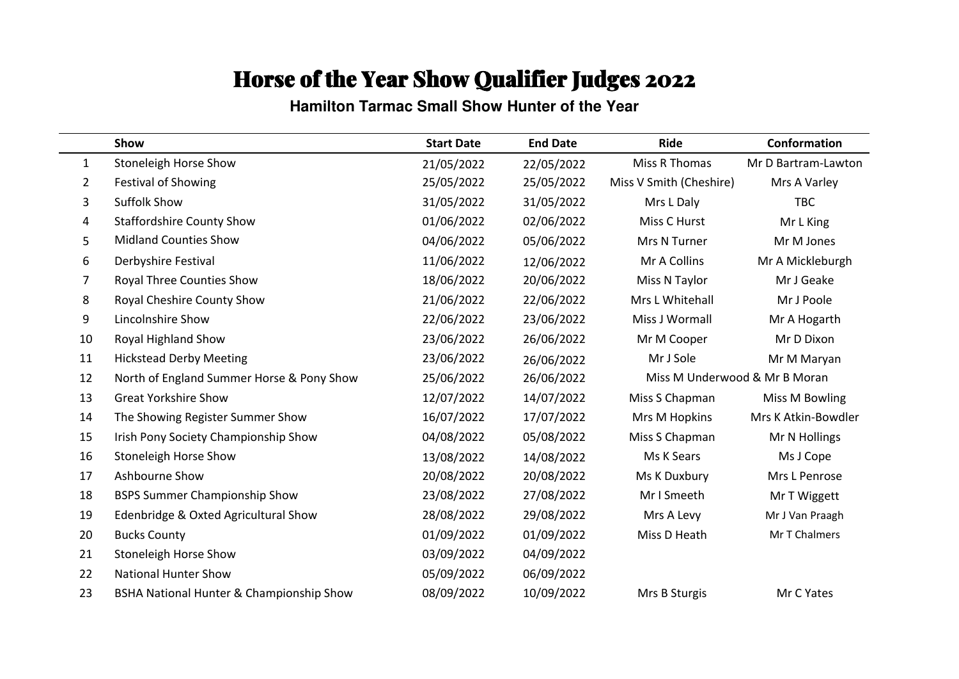**Hamilton Tarmac Small Show Hunter of the Year**

|    | Show                                      | <b>Start Date</b> | <b>End Date</b> | <b>Ride</b>                   | <b>Conformation</b> |
|----|-------------------------------------------|-------------------|-----------------|-------------------------------|---------------------|
| 1  | <b>Stoneleigh Horse Show</b>              | 21/05/2022        | 22/05/2022      | Miss R Thomas                 | Mr D Bartram-Lawton |
| 2  | <b>Festival of Showing</b>                | 25/05/2022        | 25/05/2022      | Miss V Smith (Cheshire)       | Mrs A Varley        |
| 3  | <b>Suffolk Show</b>                       | 31/05/2022        | 31/05/2022      | Mrs L Daly                    | <b>TBC</b>          |
| 4  | <b>Staffordshire County Show</b>          | 01/06/2022        | 02/06/2022      | Miss C Hurst                  | Mr L King           |
| 5  | <b>Midland Counties Show</b>              | 04/06/2022        | 05/06/2022      | Mrs N Turner                  | Mr M Jones          |
| 6  | Derbyshire Festival                       | 11/06/2022        | 12/06/2022      | Mr A Collins                  | Mr A Mickleburgh    |
| 7  | Royal Three Counties Show                 | 18/06/2022        | 20/06/2022      | Miss N Taylor                 | Mr J Geake          |
| 8  | Royal Cheshire County Show                | 21/06/2022        | 22/06/2022      | Mrs L Whitehall               | Mr J Poole          |
| 9  | Lincolnshire Show                         | 22/06/2022        | 23/06/2022      | Miss J Wormall                | Mr A Hogarth        |
| 10 | Royal Highland Show                       | 23/06/2022        | 26/06/2022      | Mr M Cooper                   | Mr D Dixon          |
| 11 | <b>Hickstead Derby Meeting</b>            | 23/06/2022        | 26/06/2022      | Mr J Sole                     | Mr M Maryan         |
| 12 | North of England Summer Horse & Pony Show | 25/06/2022        | 26/06/2022      | Miss M Underwood & Mr B Moran |                     |
| 13 | <b>Great Yorkshire Show</b>               | 12/07/2022        | 14/07/2022      | Miss S Chapman                | Miss M Bowling      |
| 14 | The Showing Register Summer Show          | 16/07/2022        | 17/07/2022      | Mrs M Hopkins                 | Mrs K Atkin-Bowdler |
| 15 | Irish Pony Society Championship Show      | 04/08/2022        | 05/08/2022      | Miss S Chapman                | Mr N Hollings       |
| 16 | <b>Stoneleigh Horse Show</b>              | 13/08/2022        | 14/08/2022      | Ms K Sears                    | Ms J Cope           |
| 17 | Ashbourne Show                            | 20/08/2022        | 20/08/2022      | Ms K Duxbury                  | Mrs L Penrose       |
| 18 | <b>BSPS Summer Championship Show</b>      | 23/08/2022        | 27/08/2022      | Mr I Smeeth                   | Mr T Wiggett        |
| 19 | Edenbridge & Oxted Agricultural Show      | 28/08/2022        | 29/08/2022      | Mrs A Levy                    | Mr J Van Praagh     |
| 20 | <b>Bucks County</b>                       | 01/09/2022        | 01/09/2022      | Miss D Heath                  | Mr T Chalmers       |
| 21 | <b>Stoneleigh Horse Show</b>              | 03/09/2022        | 04/09/2022      |                               |                     |
| 22 | <b>National Hunter Show</b>               | 05/09/2022        | 06/09/2022      |                               |                     |
| 23 | BSHA National Hunter & Championship Show  | 08/09/2022        | 10/09/2022      | Mrs B Sturgis                 | Mr C Yates          |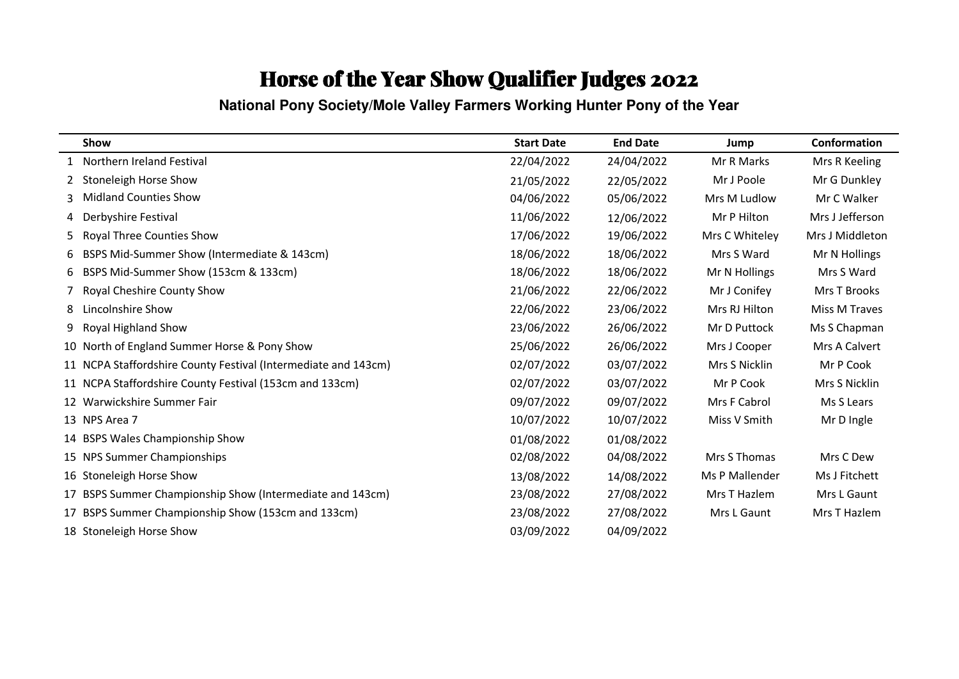**National Pony Society/Mole Valley Farmers Working Hunter Pony of the Year**

|    | Show                                                           | <b>Start Date</b> | <b>End Date</b> | Jump           | Conformation    |
|----|----------------------------------------------------------------|-------------------|-----------------|----------------|-----------------|
|    | Northern Ireland Festival                                      | 22/04/2022        | 24/04/2022      | Mr R Marks     | Mrs R Keeling   |
|    | Stoneleigh Horse Show                                          | 21/05/2022        | 22/05/2022      | Mr J Poole     | Mr G Dunkley    |
|    | <b>Midland Counties Show</b>                                   | 04/06/2022        | 05/06/2022      | Mrs M Ludlow   | Mr C Walker     |
| 4  | Derbyshire Festival                                            | 11/06/2022        | 12/06/2022      | Mr P Hilton    | Mrs J Jefferson |
| 5. | Royal Three Counties Show                                      | 17/06/2022        | 19/06/2022      | Mrs C Whiteley | Mrs J Middleton |
| 6  | BSPS Mid-Summer Show (Intermediate & 143cm)                    | 18/06/2022        | 18/06/2022      | Mrs S Ward     | Mr N Hollings   |
| 6  | BSPS Mid-Summer Show (153cm & 133cm)                           | 18/06/2022        | 18/06/2022      | Mr N Hollings  | Mrs S Ward      |
|    | Royal Cheshire County Show                                     | 21/06/2022        | 22/06/2022      | Mr J Conifey   | Mrs T Brooks    |
| 8  | Lincolnshire Show                                              | 22/06/2022        | 23/06/2022      | Mrs RJ Hilton  | Miss M Traves   |
| 9  | Royal Highland Show                                            | 23/06/2022        | 26/06/2022      | Mr D Puttock   | Ms S Chapman    |
|    | 10 North of England Summer Horse & Pony Show                   | 25/06/2022        | 26/06/2022      | Mrs J Cooper   | Mrs A Calvert   |
|    | 11 NCPA Staffordshire County Festival (Intermediate and 143cm) | 02/07/2022        | 03/07/2022      | Mrs S Nicklin  | Mr P Cook       |
|    | 11 NCPA Staffordshire County Festival (153cm and 133cm)        | 02/07/2022        | 03/07/2022      | Mr P Cook      | Mrs S Nicklin   |
|    | 12 Warwickshire Summer Fair                                    | 09/07/2022        | 09/07/2022      | Mrs F Cabrol   | Ms S Lears      |
|    | 13 NPS Area 7                                                  | 10/07/2022        | 10/07/2022      | Miss V Smith   | Mr D Ingle      |
|    | 14 BSPS Wales Championship Show                                | 01/08/2022        | 01/08/2022      |                |                 |
|    | 15 NPS Summer Championships                                    | 02/08/2022        | 04/08/2022      | Mrs S Thomas   | Mrs C Dew       |
|    | 16 Stoneleigh Horse Show                                       | 13/08/2022        | 14/08/2022      | Ms P Mallender | Ms J Fitchett   |
|    | 17 BSPS Summer Championship Show (Intermediate and 143cm)      | 23/08/2022        | 27/08/2022      | Mrs T Hazlem   | Mrs L Gaunt     |
|    | 17 BSPS Summer Championship Show (153cm and 133cm)             | 23/08/2022        | 27/08/2022      | Mrs L Gaunt    | Mrs T Hazlem    |
|    | 18 Stoneleigh Horse Show                                       | 03/09/2022        | 04/09/2022      |                |                 |